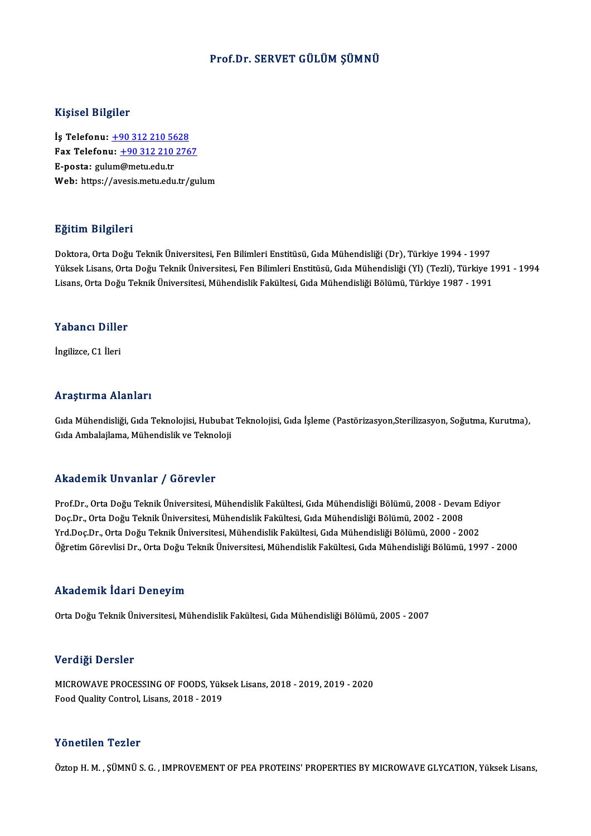### Prof.Dr. SERVET GÜLÜM ŞÜMNÜ

### Kişisel Bilgiler

Kişisel Bilgiler<br>İş Telefonu: <u>+90 312 210 5628</u><br>Fax Telefonu: +90 312 210 276 Fax Telefonu:  $\frac{+90\,312\,210\,2767}{E\text{-} \text{posta:}\text{gulum@metu.edu.tr}}$ İş Telefonu: <u>+90 312 210 56</u><br>Fax Telefonu: <u>+90 312 210</u><br>E-posta: gul[um](tel:+90 312 210 5628)[@metu.edu.tr](tel:+90 312 210 2767)<br>Web: bttrs://syssis.metu.edu.tr Web: https://avesis.metu.edu.tr/gulum

### Eğitim Bilgileri

Doktora,OrtaDoğuTeknikÜniversitesi,FenBilimleriEnstitüsü,GıdaMühendisliği (Dr),Türkiye 1994 -1997 25. Sazmi 2115.1911<br>Doktora, Orta Doğu Teknik Üniversitesi, Fen Bilimleri Enstitüsü, Gıda Mühendisliği (Dr), Türkiye 1994 - 1997<br>Lisans, Orta Doğu Teknik Üniversitesi, Mühendislik Fekültesi, Gıda Mühendisliği Bölümü, Türki Doktora, Orta Doğu Teknik Üniversitesi, Fen Bilimleri Enstitüsü, Gıda Mühendisliği (Dr), Türkiye 1994 - 1997<br>Yüksek Lisans, Orta Doğu Teknik Üniversitesi, Fen Bilimleri Enstitüsü, Gıda Mühendisliği (Yl) (Tezli), Türkiye<br>Li Lisans, Orta Doğu Teknik Üniversitesi, Mühendislik Fakültesi, Gıda Mühendisliği Bölümü, Türkiye 1987 - 1991<br>Yabancı Diller

İngilizce,C1 İleri

### Araştırma Alanları

Gıda Mühendisliği, Gıda Teknolojisi, Hububat Teknolojisi, Gıda İşleme (Pastörizasyon,Sterilizasyon, Soğutma, Kurutma), Gıda Ambalajlama, Mühendislik ve Teknoloji

### Akademik Unvanlar / Görevler

Akademik Unvanlar / Görevler<br>Prof.Dr., Orta Doğu Teknik Üniversitesi, Mühendislik Fakültesi, Gıda Mühendisliği Bölümü, 2008 - Devam Ediyor<br>Des Dr., Orta Doğu Teknik Üniversitesi, Mühendislik Fakültesi, Gıda Mühendisliği Bö rındu olirin "Olivuli'ili" / "USFSVICI"<br>Prof.Dr., Orta Doğu Teknik Üniversitesi, Mühendislik Fakültesi, Gıda Mühendisliği Bölümü, 2008 - Devai<br>Doç.Dr., Orta Doğu Teknik Üniversitesi, Mühendislik Fakültesi, Gıda Mühendisliğ Prof.Dr., Orta Doğu Teknik Üniversitesi, Mühendislik Fakültesi, Gıda Mühendisliği Bölümü, 2008 - Devam Ec<br>Doç.Dr., Orta Doğu Teknik Üniversitesi, Mühendislik Fakültesi, Gıda Mühendisliği Bölümü, 2002 - 2008<br>Yrd.Doç.Dr., Or Doç.Dr., Orta Doğu Teknik Üniversitesi, Mühendislik Fakültesi, Gıda Mühendisliği Bölümü, 2002 - 2008<br>Yrd.Doç.Dr., Orta Doğu Teknik Üniversitesi, Mühendislik Fakültesi, Gıda Mühendisliği Bölümü, 2000 - 2002<br>Öğretim Görevlis

### Akademik İdari Deneyim

Orta Doğu Teknik Üniversitesi, Mühendislik Fakültesi, Gıda Mühendisliği Bölümü, 2005 - 2007

### Verdiği Dersler

Verdiği Dersler<br>MICROWAVE PROCESSING OF FOODS, Yüksek Lisans, 2018 - 2019, 2019 - 2020<br>Feed Quality Control, Lisans, 2018, ...2019 vor digt Dorbior<br>MICROWAVE PROCESSING OF FOODS, Yük<br>Food Quality Control, Lisans, 2018 - 2019 Food Quality Control, Lisans, 2018 - 2019<br>Yönetilen Tezler

Öztop H.M., ŞÜMNÜ S.G., IMPROVEMENT OF PEA PROTEINS' PROPERTIES BY MICROWAVE GLYCATION, Yüksek Lisans,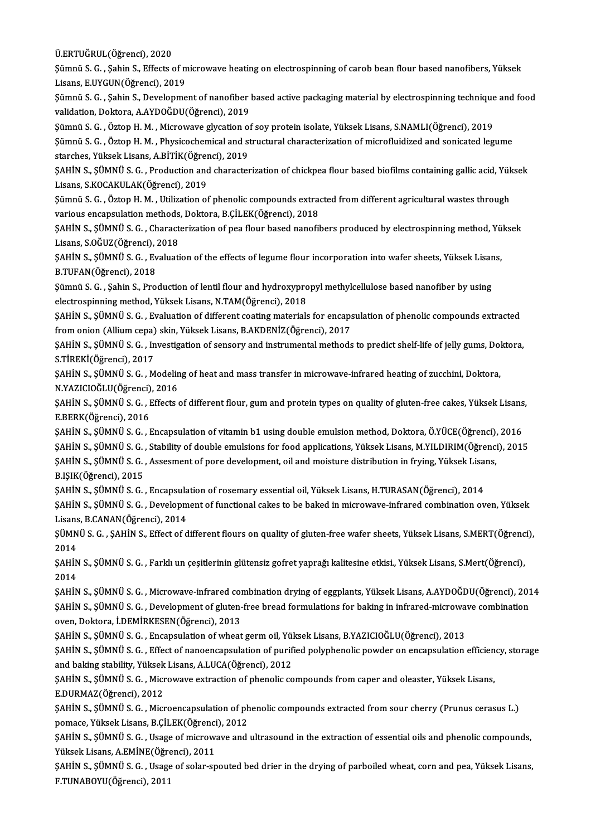Ü.ERTUĞRUL(Öğrenci),2020

Ü.ERTUĞRUL(Öğrenci), 2020<br>Şümnü S. G. , Şahin S., Effects of microwave heating on electrospinning of carob bean flour based nanofibers, Yüksek<br>Lisana E UVCUN(Öğrengi), 2019 Ü.ERTUĞRUL(Öğrenci), 2020<br>Şümnü S. G. , Şahin S., Effects of m<br>Lisans, E.UYGUN(Öğrenci), 2019<br>Sümnü S. G., Sahin S. Davalanma Şümnü S. G. , Şahin S., Effects of microwave heating on electrospinning of carob bean flour based nanofibers, Yüksek<br>Lisans, E.UYGUN(Öğrenci), 2019<br>Şümnü S. G. , Şahin S., Development of nanofiber based active packaging ma

Lisans, E.UYGUN(Öğrenci), 2019<br>Şümnü S. G. , Şahin S., Development of nanofiber<br>validation, Doktora, A.AYDOĞDU(Öğrenci), 2019<br>Sümnü S. G. , Özton H. M., Misrowaye slysation of Şümnü S. G. , Şahin S., Development of nanofiber based active packaging material by electrospinning technique<br>validation, Doktora, A.AYDOĞDU(Öğrenci), 2019<br>Şümnü S. G. , Öztop H. M. , Microwave glycation of soy protein iso

validation, Doktora, A.AYDOĞDU(Öğrenci), 2019<br>Şümnü S. G. , Öztop H. M. , Microwave glycation of soy protein isolate, Yüksek Lisans, S.NAMLI(Öğrenci), 2019<br>Şümnü S. G. , Öztop H. M. , Physicochemical and structural charact Sümnü S. G. , Öztop H. M. , Microwave glycation o:<br>Sümnü S. G. , Öztop H. M. , Physicochemical and starches, Yüksek Lisans, A.BİTİK(Öğrenci), 2019<br>SAHİN S. SÜMNÜ S. G., Production and character Şümnü S. G. , Öztop H. M. , Physicochemical and structural characterization of microfluidized and sonicated legume<br>starches, Yüksek Lisans, A.BİTİK(Öğrenci), 2019<br>ŞAHİN S., ŞÜMNÜ S. G. , Production and characterization of

starches, Yüksek Lisans, A.BİTİK(Öğren<br>ŞAHİN S., ŞÜMNÜ S. G. , Production and<br>Lisans, S.KOCAKULAK(Öğrenci), 2019<br>Sümnü S. G., Örten H. M., Utiliration ed ŞAHİN S., ŞÜMNÜ S. G. , Production and characterization of chickpea flour based biofilms containing gallic acid, Yük<br>Lisans, S.KOCAKULAK(Öğrenci), 2019<br>Şümnü S. G. , Öztop H. M. , Utilization of phenolic compounds extracte

Lisans, S.KOCAKULAK(Öğrenci), 2019<br>Şümnü S. G. , Öztop H. M. , Utilization of phenolic compounds extracted from different agricultural wastes through<br>various encapsulation methods, Doktora, B.ÇİLEK(Öğrenci), 2018

ŞAHİNS.,ŞÜMNÜS.G. ,Characterizationofpea flour based nanofibersproduced by electrospinningmethod,Yüksek various encapsulation methods<br>ŞAHİN S., ŞÜMNÜ S. G. , Charact<br>Lisans, S.OĞUZ(Öğrenci), 2018<br>SAHİN S. SÜMNÜ S. G., Evolusti ŞAHİN S., ŞÜMNÜ S. G. , Characterization of pea flour based nanofibers produced by electrospinning method, Yü<br>Lisans, S.OĞUZ(Öğrenci), 2018<br>ŞAHİN S., ŞÜMNÜ S. G. , Evaluation of the effects of legume flour incorporation in

Lisans, S.OĞUZ(Öğrenci), <mark>;</mark><br>ŞAHİN S., ŞÜMNÜ S. G. , Ev<br>B.TUFAN(Öğrenci), 2018<br>Sümnü S. G., Sobin S. Pro ŞAHİN S., ŞÜMNÜ S. G. , Evaluation of the effects of legume flour incorporation into wafer sheets, Yüksek Lisar<br>B.TUFAN(Öğrenci), 2018<br>Şümnü S. G. , Şahin S., Production of lentil flour and hydroxypropyl methylcellulose ba

B.TUFAN(Öğrenci), 2018<br>Şümnü S. G. , Şahin S., Production of lentil flour and hydroxypropyl methylcellulose based nanofiber by using<br>electrospinning method, Yüksek Lisans, N.TAM(Öğrenci), 2018 Şümnü S. G. , Şahin S., Production of lentil flour and hydroxypropyl methylcellulose based nanofiber by using<br>electrospinning method, Yüksek Lisans, N.TAM(Öğrenci), 2018<br>ŞAHİN S., ŞÜMNÜ S. G. , Evaluation of different coat

electrospinning method, Yüksek Lisans, N.TAM(Öğrenci), 2018<br>ŞAHİN S., ŞÜMNÜ S. G. , Evaluation of different coating materials for encaps<br>from onion (Allium cepa) skin, Yüksek Lisans, B.AKDENİZ(Öğrenci), 2017<br>SAHİN S. SÜMNÜ ŞAHİN S., ŞÜMNÜ S. G. , Evaluation of different coating materials for encapsulation of phenolic compounds extracted<br>from onion (Allium cepa) skin, Yüksek Lisans, B.AKDENİZ(Öğrenci), 2017<br>ŞAHİN S., ŞÜMNÜ S. G. , Investigati

from onion (Allium cepa) skin, Yüksek Lisans, B.AKDENİZ(Öğrenci), 2017<br>ŞAHİN S., ŞÜMNÜ S. G. , Investigation of sensory and instrumental methods to predict shelf-life of jelly gums, Doktora,<br>S.TİREKİ(Öğrenci), 2017 ŞAHİN S., ŞÜMNÜ S. G. , Investigation of sensory and instrumental methods to predict shelf-life of jelly gums, Dol<br>S.TİREKİ(Öğrenci), 2017<br>ŞAHİN S., ŞÜMNÜ S. G. , Modeling of heat and mass transfer in microwave-infrared he

S.TİREKİ(Öğrenci), 2017<br>ŞAHİN S., ŞÜMNÜ S. G. , Modelin<br>N.YAZICIOĞLU(Öğrenci), 2016<br>SAHİN S. SÜMNÜ S. G., Effects ( ŞAHİN S., ŞÜMNÜ S. G. , Modeling of heat and mass transfer in microwave-infrared heating of zucchini, Doktora,<br>N.YAZICIOĞLU(Öğrenci), 2016<br>ŞAHİN S., ŞÜMNÜ S. G. , Effects of different flour, gum and protein types on qualit

N.YAZICIOĞLU(Öğrenci), 2016<br>ŞAHİN S., ŞÜMNÜ S. G. , Effects of different flour, gum and protein types on quality of gluten-free cakes, Yüksek Lisans<br>E.BERK(Öğrenci), 2016<br>SAHİN S., SÜMNÜ S. G. , Encapsulation of vitamin b1 ŞAHİN S., ŞÜMNÜ S. G., Effects of different flour, gum and protein types on quality of gluten-free cakes, Yüksek Lisans,

ŞAHİNS.,ŞÜMNÜS.G. ,Stability ofdouble emulsions for food applications,YüksekLisans,M.YILDIRIM(Öğrenci),2015 ŞAHİN S., ŞÜMNÜ S. G. , Encapsulation of vitamin b1 using double emulsion method, Doktora, Ö.YÜCE(Öğrenci),<br>ŞAHİN S., ŞÜMNÜ S. G. , Stability of double emulsions for food applications, Yüksek Lisans, M.YILDIRIM(Öğrenci<br>ŞAH ŞAHİN S., ŞÜMNÜ S. G. ,<br>ŞAHİN S., ŞÜMNÜ S. G. ,<br>B.IŞIK(Öğrenci), 2015<br>SAHİN S. SİMNÜ S. G ŞAHİN S., ŞÜMNÜ S. G. , Assesment of pore development, oil and moisture distribution in frying, Yüksek Lisa:<br>B.IŞIK(Öğrenci), 2015<br>ŞAHİN S., ŞÜMNÜ S. G. , Encapsulation of rosemary essential oil, Yüksek Lisans, H.TURASAN(Ö

B.IŞIK(Öğrenci), 2015<br>ŞAHİN S., ŞÜMNÜ S. G. , Encapsulation of rosemary essential oil, Yüksek Lisans, H.TURASAN(Öğrenci), 2014<br>ŞAHİN S., ŞÜMNÜ S. G. , Development of functional cakes to be baked in microwave-infrared combi Lisans, B.CANAN(Öğrenci), 2014

ŞAHİN S., ŞÜMNÜ S. G. , Development of functional cakes to be baked in microwave-infrared combination oven, Yüksek<br>Lisans, B.CANAN(Öğrenci), 2014<br>ŞÜMNÜ S. G. , ŞAHİN S., Effect of different flours on quality of gluten-free Lisans<br>ŞÜMN<br>2014<br>SAHN ŞÜMNÜ S. G. , ŞAHİN S., Effect of different flours on quality of gluten-free wafer sheets, Yüksek Lisans, S.MERT(Öğrenc<br>2014<br>ŞAHİN S., ŞÜMNÜ S. G. , Farklı un çeşitlerinin glütensiz gofret yaprağı kalitesine etkisi., Yükse

2014<br>ŞAHİN S., ŞÜMNÜ S. G. , Farklı un çeşitlerinin glütensiz gofret yaprağı kalitesine etkisi., Yüksek Lisans, S.Mert(Öğrenci),<br>2014 ŞAHİN S., ŞÜMNÜ S. G. , Farklı un çeşitlerinin glütensiz gofret yaprağı kalitesine etkisi., Yüksek Lisans, S.Mert(Öğrenci),<br>2014<br>ŞAHİN S., ŞÜMNÜ S. G. , Microwave-infrared combination drying of eggplants, Yüksek Lisans, A.

2014<br>ŞAHİN S., ŞÜMNÜ S. G. , Microwave-infrared combination drying of eggplants, Yüksek Lisans, A.AYDOĞDU(Öğrenci), 201<br>ŞAHİN S., ŞÜMNÜ S. G. , Development of gluten-free bread formulations for baking in infrared-microwave SAHİN S., ŞÜMNÜ S. G. , Microwave-infrared com<br>SAHİN S., ŞÜMNÜ S. G. , Development of gluten-<br>oven, Doktora, İ.DEMİRKESEN(Öğrenci), 2013<br>SAHİN S. SÜMNÜ S. G. , Encansulation of urbeat ŞAHİN S., ŞÜMNÜ S. G. , Development of gluten-free bread formulations for baking in infrared-microwave combination<br>oven, Doktora, İ.DEMİRKESEN(Öğrenci), 2013<br>ŞAHİN S., ŞÜMNÜ S. G. , Encapsulation of wheat germ oil, Yüksek

oven, Doktora, İ.DEMİRKESEN(Öğrenci), 2013<br>ŞAHİN S., ŞÜMNÜ S. G. , Encapsulation of wheat germ oil, Yüksek Lisans, B.YAZICIOĞLU(Öğrenci), 2013<br>ŞAHİN S., ŞÜMNÜ S. G. , Effect of nanoencapsulation of purified polyphenolic po SAHİN S., ŞÜMNÜ S. G. , Encapsulation of wheat germ oil, Yül<br>SAHİN S., ŞÜMNÜ S. G. , Effect of nanoencapsulation of purif<br>and baking stability, Yüksek Lisans, A.LUCA(Öğrenci), 2012<br>SAHİN S. SÜMNÜ S. G., Misroyaye eytrestio ŞAHİN S., ŞÜMNÜ S. G. , Effect of nanoencapsulation of purified polyphenolic powder on encapsulation efficien<br>and baking stability, Yüksek Lisans, A.LUCA(Öğrenci), 2012<br>ŞAHİN S., ŞÜMNÜ S. G. , Microwave extraction of pheno

and baking stability, Yüksek Lisans, A.LUCA(Öğrenci), 2012<br>ŞAHİN S., ŞÜMNÜ S. G. , Microwave extraction of phenolic compounds from caper and oleaster, Yüksek Lisans,<br>E.DURMAZ(Öğrenci), 2012 ŞAHİN S., ŞÜMNÜ S. G. , Microwave extraction of phenolic compounds from caper and oleaster, Yüksek Lisans,<br>E.DURMAZ(Öğrenci), 2012<br>ŞAHİN S., ŞÜMNÜ S. G. , Microencapsulation of phenolic compounds extracted from sour cherry

E.DURMAZ(Öğrenci), 2012<br>ŞAHİN S., ŞÜMNÜ S. G. , Microencapsulation of ph<br>pomace, Yüksek Lisans, B.ÇİLEK(Öğrenci), 2012<br>SAHİN S. SİİMNÜ S. G., Usage of misrovayye and ŞAHİN S., ŞÜMNÜ S. G. , Microencapsulation of phenolic compounds extracted from sour cherry (Prunus cerasus L.)<br>pomace, Yüksek Lisans, B.ÇİLEK(Öğrenci), 2012<br>ŞAHİN S., ŞÜMNÜ S. G. , Usage of microwave and ultrasound in the

pomace, Yüksek Lisans, B.ÇİLEK(Öğrenci<br>ŞAHİN S., ŞÜMNÜ S. G. , Usage of microw:<br>Yüksek Lisans, A.EMİNE(Öğrenci), 2011<br>SAHİN S. SİMNÜ S. G., Usage of salar an ŞAHİN S., ŞÜMNÜ S. G. , Usage of microwave and ultrasound in the extraction of essential oils and phenolic compounds,<br>Yüksek Lisans, A.EMİNE(Öğrenci), 2011<br>ŞAHİN S., ŞÜMNÜ S. G. , Usage of solar-spouted bed drier in the dr

Yüksek Lisans, A.EMİNE(Öğre<br>ŞAHİN S., ŞÜMNÜ S. G. , Usage<br>F.TUNABOYU(Öğrenci), 2011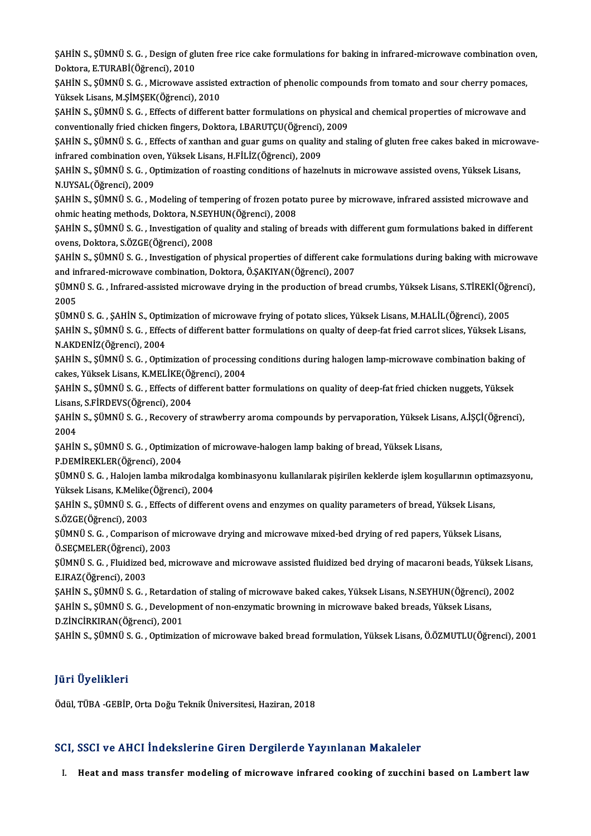ŞAHİN S., ŞÜMNÜ S. G. , Design of gluten free rice cake formulations for baking in infrared-microwave combination oven,<br>Dektare, E TUPARİ(Öğrengi), 2010 SAHİN S., ŞÜMNÜ S. G. , Design of glı<br>Doktora, E.TURABİ(Öğrenci), 2010<br>SAHİN S. SÜMNÜ S. G., Misrovaye ( ŞAHİN S., ŞÜMNÜ S. G. , Design of gluten free rice cake formulations for baking in infrared-microwave combination ove<br>Doktora, E.TURABİ(Öğrenci), 2010<br>ŞAHİN S., ŞÜMNÜ S. G. , Microwave assisted extraction of phenolic compo

Doktora, E.TURABİ(Öğrenci), 2010<br>ŞAHİN S., ŞÜMNÜ S. G. , Microwave assiste<br>Yüksek Lisans, M.ŞİMŞEK(Öğrenci), 2010<br>SAHİN S. SÜMNÜ S. G., Effects of different ŞAHİN S., ŞÜMNÜ S. G. , Microwave assisted extraction of phenolic compounds from tomato and sour cherry pomaces,<br>Yüksek Lisans, M.ŞİMŞEK(Öğrenci), 2010<br>ŞAHİN S., ŞÜMNÜ S. G. , Effects of different batter formulations on ph

Yüksek Lisans, M.ŞİMŞEK(Öğrenci), 2010<br>ŞAHİN S., ŞÜMNÜ S. G. , Effects of different batter formulations on physical and chemical properties of microwave and<br>conventionally fried chicken fingers, Doktora, I.BARUTÇU(Öğrenci) ŞAHİN S., ŞÜMNÜ S. G. , Effects of different batter formulations on physical and chemical properties of microwave and<br>conventionally fried chicken fingers, Doktora, I.BARUTÇU(Öğrenci), 2009<br>ŞAHİN S., ŞÜMNÜ S. G. , Effects

conventionally fried chicken fingers, Doktora, I.BARUTÇU(Öğrenci),<br>ŞAHİN S., ŞÜMNÜ S. G. , Effects of xanthan and guar gums on quality<br>infrared combination oven, Yüksek Lisans, H.FİLİZ(Öğrenci), 2009<br>SAHİN S. SÜMNÜ S.C., O ŞAHİN S., ŞÜMNÜ S. G. , Effects of xanthan and guar gums on quality and staling of gluten free cakes baked in microw<br>infrared combination oven, Yüksek Lisans, H.FİLİZ(Öğrenci), 2009<br>ŞAHİN S., ŞÜMNÜ S. G. , Optimization of

infrared combination oven, Yüksek Lisans, H.FİLİZ(Öğrenci), 2009<br>ŞAHİN S., ŞÜMNÜ S. G. , Optimization of roasting conditions of hazelnuts in microwave assisted ovens, Yüksek Lisans,<br>N.UYSAL(Öğrenci), 2009 ŞAHİN S., ŞÜMNÜ S. G. , Optimization of roasting conditions of hazelnuts in microwave assisted ovens, Yüksek Lisans,<br>N.UYSAL(Öğrenci), 2009<br>ŞAHİN S., ŞÜMNÜ S. G. , Modeling of tempering of frozen potato puree by microwave,

N.UYSAL(Öğrenci), 2009<br>ŞAHİN S., ŞÜMNÜ S. G. , Modeling of tempering of frozen pota<br>ohmic heating methods, Doktora, N.SEYHUN(Öğrenci), 2008<br>SAHİN S. SÜMNÜ S. G. , Investigation of quelity and staling of

ohmic heating methods, Doktora, N.SEYHUN(Öğrenci), 2008<br>ŞAHİN S., ŞÜMNÜ S. G. , Investigation of quality and staling of breads with different gum formulations baked in different ovens, Doktora, S.ÖZGE(Öğrenci), 2008 ŞAHİN S., ŞÜMNÜ S. G. , Investigation of quality and staling of breads with different gum formulations baked in different<br>ovens, Doktora, S.ÖZGE(Öğrenci), 2008<br>ŞAHİN S., ŞÜMNÜ S. G. , Investigation of physical properties o

ovens, Doktora, S.ÖZGE(Öğrenci), 2008<br>ŞAHİN S., ŞÜMNÜ S. G. , Investigation of physical properties of different cake<br>and infrared-microwave combination, Doktora, Ö.ŞAKIYAN(Öğrenci), 2007<br>SÜMNÜ S. G., Infrared assisted misr ŞAHİN S., ŞÜMNÜ S. G. , Investigation of physical properties of different cake formulations during baking with microwave<br>and infrared-microwave combination, Doktora, Ö.ŞAKIYAN(Öğrenci), 2007<br>ŞÜMNÜ S. G. , Infrared-assisted

and infrared-microwave combination, Doktora, Ö.ŞAKIYAN(Öğrenci), 2007<br>ŞÜMNÜ S. G. , Infrared-assisted microwave drying in the production of bread crumbs, Yüksek Lisans, S.TİREKİ(Öğrenci),<br>2005 ŞÜMNÜ S. G. , Infrared-assisted microwave drying in the production of bread crumbs, Yüksek Lisans, S.TİREKİ(Öğr<br>2005<br>ŞÜMNÜ S. G. , ŞAHİN S., Optimization of microwave frying of potato slices, Yüksek Lisans, M.HALİL(Öğrenci

2005<br>ŞÜMNÜ S. G. , ŞAHİN S., Optimization of microwave frying of potato slices, Yüksek Lisans, M.HALİL(Öğrenci), 2005<br>ŞAHİN S., ŞÜMNÜ S. G. , Effects of different batter formulations on qualty of deep-fat fried carrot slic ŞÜMNÜ S. G. , ŞAHİN S., Optir<br>ŞAHİN S., ŞÜMNÜ S. G. , Effec<br>N.AKDENİZ(Öğrenci), 2004<br>SAHİN S. SÜMNÜ S. G., Optir ŞAHİN S., ŞÜMNÜ S. G. , Effects of different batter formulations on qualty of deep-fat fried carrot slices, Yüksek Lisans,<br>N.AKDENİZ(Öğrenci), 2004<br>ŞAHİN S., ŞÜMNÜ S. G. , Optimization of processing conditions during halog

N.AKDENİZ(Öğrenci), 2004<br>ŞAHİN S., ŞÜMNÜ S. G. , Optimization of processii<br>cakes, Yüksek Lisans, K.MELİKE(Öğrenci), 2004<br>SAHİN S. SÜMNÜ S. G., Effects of different batteı ŞAHİN S., ŞÜMNÜ S. G. , Optimization of processing conditions during halogen lamp-microwave combination baking<br>cakes, Yüksek Lisans, K.MELİKE(Öğrenci), 2004<br>ŞAHİN S., ŞÜMNÜ S. G. , Effects of different batter formulations

cakes, Yüksek Lisans, K.MELİKE(Öğ<br>ŞAHİN S., ŞÜMNÜ S. G. , Effects of d<br>Lisans, S.FİRDEVS(Öğrenci), 2004<br>SAHİN S. SÜMNÜ S. G., Peseyery o ŞAHİN S., ŞÜMNÜ S. G. , Effects of different batter formulations on quality of deep-fat fried chicken nuggets, Yüksek<br>Lisans, S.FİRDEVS(Öğrenci), 2004<br>ŞAHİN S., ŞÜMNÜ S. G. , Recovery of strawberry aroma compounds by perva

Lisans<br>ŞAHİN<br>2004<br>SAHİN ŞAHİN S., ŞÜMNÜ S. G. , Recovery of strawberry aroma compounds by pervaporation, Yüksek Lis<br>2004<br>ŞAHİN S., ŞÜMNÜ S. G. , Optimization of microwave-halogen lamp baking of bread, Yüksek Lisans,<br>P.DEMİREKLER(Öğrensi), 2004

2004<br>ŞAHİN S., ŞÜMNÜ S. G. , Optimization of microwave-halogen lamp baking of bread, Yüksek Lisans,<br>P.DEMİREKLER(Öğrenci), 2004

ŞAHİN S., ŞÜMNÜ S. G. , Optimization of microwave-halogen lamp baking of bread, Yüksek Lisans,<br>P.DEMİREKLER(Öğrenci), 2004<br>ŞÜMNÜ S. G. , Halojen lamba mikrodalga kombinasyonu kullanılarak pişirilen keklerde işlem koşulları P.DEMİREKLER(Öğrenci), 2004<br>ŞÜMNÜ S. G. , Halojen lamba mikrodalga<br>Yüksek Lisans, K.Melike(Öğrenci), 2004<br>SAHİN S. SÜMNÜ S. G., Effecta of diffens ŞÜMNÜ S. G. , Halojen lamba mikrodalga kombinasyonu kullanılarak pişirilen keklerde işlem koşullarının optim<br>Yüksek Lisans, K.Melike(Öğrenci), 2004<br>ŞAHİN S., ŞÜMNÜ S. G. , Effects of different ovens and enzymes on quality

Yüksek Lisans, K.Melike<br>ŞAHİN S., ŞÜMNÜ S. G. , J<br>S.ÖZGE(Öğrenci), 2003<br>SÜMNÜ S. G. Gemnaris ŞAHİN S., ŞÜMNÜ S. G. , Effects of different ovens and enzymes on quality parameters of bread, Yüksek Lisans,<br>S.ÖZGE(Öğrenci), 2003<br>ŞÜMNÜ S. G. , Comparison of microwave drying and microwave mixed-bed drying of red papers,

S.ÖZGE(Öğrenci), 2003<br>ŞÜMNÜ S. G. , Comparison of 1<br>Ö.SEÇMELER(Öğrenci), 2003<br>SÜMNÜ S. G. , Elwidized bed. m ŞÜMNÜ S. G. , Comparison of microwave drying and microwave mixed-bed drying of red papers, Yüksek Lisans,<br>Ö.SEÇMELER(Öğrenci), 2003<br>ŞÜMNÜ S. G. , Fluidized bed, microwave and microwave assisted fluidized bed drying of maca

Ö.SEÇMELER(Öğrenci), 2003<br>ŞÜMNÜ S. G. , Fluidized bed, microwave and microwave assisted fluidized bed drying of macaroni beads, Yüksek Lisans,<br>E.IRAZ(Öğrenci), 2003 ŞÜMNÜ S. G. , Fluidized bed, microwave and microwave assisted fluidized bed drying of macaroni beads, Yüksek Lis<br>E.IRAZ(Öğrenci), 2003<br>ŞAHİN S., ŞÜMNÜ S. G. , Retardation of staling of microwave baked cakes, Yüksek Lisans,

E.IRAZ(Öğrenci), 2003<br>ŞAHİN S., ŞÜMNÜ S. G. , Retardation of staling of microwave baked cakes, Yüksek Lisans, N.SEYHUN(Öğrenci),<br>ŞAHİN S., ŞÜMNÜ S. G. , Development of non-enzymatic browning in microwave baked breads, Yüks ŞAHİN S., ŞÜMNÜ S. G. , Retardati<br>ŞAHİN S., ŞÜMNÜ S. G. , Developr<br>D.ZİNCİRKIRAN(Öğrenci), 2001<br>SAHİN S. SÜMNÜ S. G. , Ontimizat ŞAHİN S., ŞÜMNÜ S. G. , Development of non-enzymatic browning in microwave baked breads, Yüksek Lisans,<br>D.ZİNCİRKIRAN(Öğrenci), 2001<br>ŞAHİN S., ŞÜMNÜ S. G. , Optimization of microwave baked bread formulation, Yüksek Lisans,

### JüriÜyelikleri

Ödül, TÜBA-GEBİP, Orta Doğu Teknik Üniversitesi, Haziran, 2018

### SCI, SSCI ve AHCI İndekslerine Giren Dergilerde Yayınlanan Makaleler

I. Heat and mass transfer modeling of microwave infrared cooking of zucchini based on Lambert law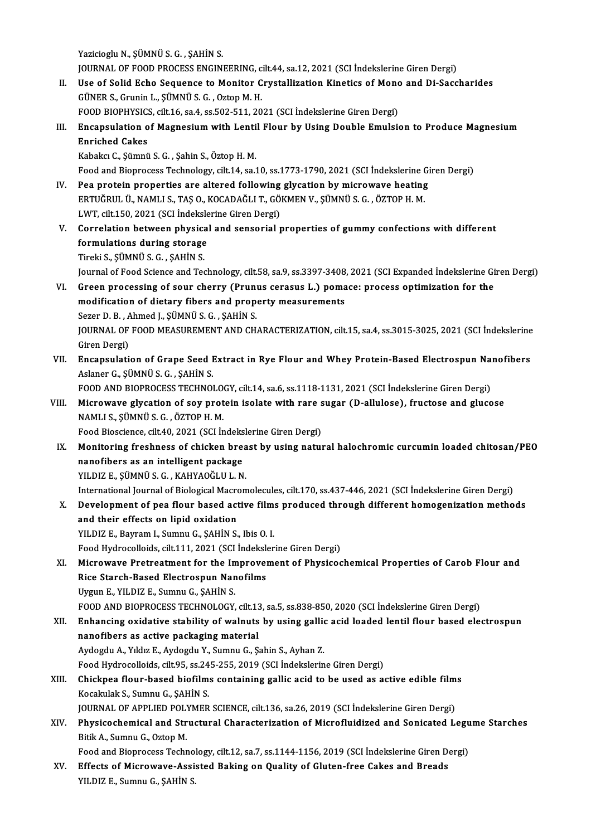Yazicioglu N., ŞÜMNÜ S. G., ŞAHİN S.

Yazicioglu N., ŞÜMNÜ S. G. , ŞAHİN S.<br>JOURNAL OF FOOD PROCESS ENGINEERING, cilt.44, sa.12, 2021 (SCI İndekslerine Giren Dergi)<br>Has of Solid Esho Soquanga ta Manitan Crustallization Kinetiss of Mana and Di Soqq

- II. Use of Solid Echo Sequence to Monitor Crystallization Kinetics of Mono and Di-Saccharides GÜNER S., Grunin L., SÜMNÜ S. G., Oztop M. H. JOURNAL OF FOOD PROCESS ENGINEERING, c<br>Use of Solid Echo Sequence to Monitor C<br>GÜNER S., Grunin L., ŞÜMNÜ S. G. , Oztop M. H.<br>FOOD PIOPUYSICS silt 16 ss 4 ss 503 511 30 Use of Solid Echo Sequence to Monitor Crystallization Kinetics of Mono<br>GÜNER S., Grunin L., ŞÜMNÜ S. G. , Oztop M. H.<br>FOOD BIOPHYSICS, cilt.16, sa.4, ss.502-511, 2021 (SCI İndekslerine Giren Dergi)<br>Encapsulation of Magnesi GÜNER S., Grunin L., ŞÜMNÜ S. G. , Oztop M. H.<br>FOOD BIOPHYSICS, cilt.16, sa.4, ss.502-511, 2021 (SCI İndekslerine Giren Dergi)<br>III. Encapsulation of Magnesium with Lentil Flour by Using Double Emulsion to Produce Magnesium
- FOOD BIOPHYSIC:<br>Encapsulation o<br>Enriched Cakes<br>Kabeks C. Sümnü Encapsulation of Magnesium with Lenti<br>Enriched Cakes<br>Kabakcı C., Şümnü S. G. , Şahin S., Öztop H. M.<br>Feed and Bianresses Teshnelegy, silt 14, sa Enriched Cakes<br>Kabakcı C., Şümnü S. G. , Şahin S., Öztop H. M.<br>Food and Bioprocess Technology, cilt.14, sa.10, ss.1773-1790, 2021 (SCI İndekslerine Giren Dergi)

- Kabakcı C., Şümnü S. G., Şahin S., Öztop H. M.<br>Food and Bioprocess Technology, cilt.14, sa.10, ss.1773-1790, 2021 (SCI İndekslerine Gi<br>IV. Pea protein properties are altered following glycation by microwave heating<br>EPTUČPU Food and Bioprocess Technology, cilt.14, sa.10, ss.1773-1790, 2021 (SCI İndekslerine (<br>Pea protein properties are altered following glycation by microwave heating<br>ERTUĞRUL Ü., NAMLI S., TAŞ O., KOCADAĞLI T., GÖKMEN V., ŞÜM Pea protein properties are altered following<br>ERTUĞRUL Ü., NAMLI S., TAŞ O., KOCADAĞLI T., GÖ.<br>LWT, cilt.150, 2021 (SCI İndekslerine Giren Dergi)<br>Correlation between nhygisel and senseriel r ERTUĞRUL Ü., NAMLI S., TAŞ O., KOCADAĞLI T., GÖKMEN V., ŞÜMNÜ S. G. , ÖZTOP H. M.<br>LWT, cilt.150, 2021 (SCI İndekslerine Giren Dergi)<br>V. Correlation between physical and sensorial properties of gummy confections with di
- LWT, cilt.150, 2021 (SCI İndeksle<br>Correlation between physica<br>formulations during storage<br>Tiroli S. SÜMNÜ S.C., SAHİN S Correlation between physica<br>formulations during storage<br>Tireki S., ŞÜMNÜ S. G. , ŞAHİN S.<br>Journal of Food Science and Tea Tireki S., ŞÜMNÜ S. G. , ŞAHİN S.<br>Journal of Food Science and Technology, cilt.58, sa.9, ss.3397-3408, 2021 (SCI Expanded İndekslerine Giren Dergi)

- Tireki S., ŞÜMNÜ S. G., ŞAHİN S.<br>Journal of Food Science and Technology, cilt.58, sa.9, ss.3397-3408, 2021 (SCI Expanded İndekslerine Gi<br>VI. Green processing of sour cherry (Prunus cerasus L.) pomace: process optimization Journal of Food Science and Technology, cilt.58, sa.9, ss.3397-3408<br>Green processing of sour cherry (Prunus cerasus L.) poma<br>modification of dietary fibers and property measurements<br>Seren D. B., Abmed L. SÜMNÜ S. G., SAUIN Green processing of sour cherry (Prunt<br>modification of dietary fibers and prope<br>Sezer D.B., Ahmed J., ŞÜMNÜ S.G. , ŞAHİN S.<br>JOUPNAL OF FOOD MEASUREMENT AND CH modification of dietary fibers and property measurements<br>Sezer D. B. , Ahmed J., ŞÜMNÜ S. G. , ŞAHİN S.<br>JOURNAL OF FOOD MEASUREMENT AND CHARACTERIZATION, cilt.15, sa.4, ss.3015-3025, 2021 (SCI İndekslerine<br>Ciron Dergi) Sezer D. B. , Ahmed J., ŞÜMNÜ S. G. , ŞAHİN S.<br>JOURNAL OF FOOD MEASUREMENT AND CH.<br>Giren Dergi) JOURNAL OF FOOD MEASUREMENT AND CHARACTERIZATION, cilt.15, sa.4, ss.3015-3025, 2021 (SCI Indekslerine<br>Giren Dergi)<br>VII. Encapsulation of Grape Seed Extract in Rye Flour and Whey Protein-Based Electrospun Nanofibers<br>Aslange
- VII. Encapsulation of Grape Seed Extract in Rye Flour and Whey Protein-Based Electrospun Nanofibers<br>Aslaner G., ŞÜMNÜ S. G., ŞAHİN S. Encapsulation of Grape Seed Extract in Rye Flour and Whey Protein-Based Electrospun Na<br>Aslaner G., ŞÜMNÜ S. G. , ŞAHİN S.<br>FOOD AND BIOPROCESS TECHNOLOGY, cilt.14, sa.6, ss.1118-1131, 2021 (SCI İndekslerine Giren Dergi)<br>Mis

Aslaner G., ŞÜMNÜ S. G. , ŞAHİN S.<br>FOOD AND BIOPROCESS TECHNOLOGY, cilt.14, sa.6, ss.1118-1131, 2021 (SCI İndekslerine Giren Dergi)<br>VIII. Microwave glycation of soy protein isolate with rare sugar (D-allulose), fructose an FOOD AND BIOPROCESS TECHNOLO<br>Microwave glycation of soy prot<br>NAMLI S., ŞÜMNÜ S. G. , ÖZTOP H. M.<br>Food Biossianse, silt 40, 2021 (SCLIT Microwave glycation of soy protein isolate with rare s<br>NAMLI S., ŞÜMNÜ S. G. , ÖZTOP H. M.<br>Food Bioscience, cilt.40, 2021 (SCI İndekslerine Giren Dergi)<br>Monitoring freshness of shisken breest by using natur NAMLI S., ŞÜMNÜ S. G. , ÖZTOP H. M.<br>Food Bioscience, cilt.40, 2021 (SCI İndekslerine Giren Dergi)<br>IX. Monitoring freshness of chicken breast by using natural halochromic curcumin loaded chitosan/PEO

Food Bioscience, cilt.40, 2021 (SCI İndeks<br>Monitoring freshness of chicken bre:<br>nanofibers as an intelligent package<br>VU DIZ E. SÜMNÜ S.C., KAHYAQĞLU L.N Monitoring freshness of chicken brea<br>nanofibers as an intelligent package<br>YILDIZ E., ŞÜMNÜ S. G. , KAHYAOĞLU L. N.<br>International Journal of Biological Megner

YILDIZ E., ŞÜMNÜ S. G. , KAHYAOĞLU L. N.<br>International Journal of Biological Macromolecules, cilt.170, ss.437-446, 2021 (SCI İndekslerine Giren Dergi)

YILDIZ E., ȘÜMNÜ S. G. , KAHYAOĞLU L. N.<br>International Journal of Biological Macromolecules, cilt.170, ss.437-446, 2021 (SCI İndekslerine Giren Dergi)<br>X. Development of pea flour based active films produced through differe International Journal of Biological Macro<br>Development of pea flour based act<br>and their effects on lipid oxidation<br>VU DIZ E. Boymam L. Sumay G. SAHIN S. Development of pea flour based active film:<br>and their effects on lipid oxidation<br>YILDIZ E., Bayram I., Sumnu G., ŞAHİN S., Ibis O. I.<br>Feed Hydreselleids silt 111, 2021 (SCL indeksler and their effects on lipid oxidation<br>YILDIZ E., Bayram I., Sumnu G., ŞAHİN S., Ibis O. I.<br>Food Hydrocolloids, cilt.111, 2021 (SCI İndekslerine Giren Dergi)<br>Mianewaya Pustuestment far the Impreyement of Physices

YILDIZ E., Bayram I., Sumnu G., ȘAHİN S., Ibis O. I.<br>Food Hydrocolloids, cilt.111, 2021 (SCI İndekslerine Giren Dergi)<br>XI. Microwave Pretreatment for the Improvement of Physicochemical Properties of Carob Flour and<br>Rice St Food Hydrocolloids, cilt.111, 2021 (SCI İndeksle<br>Microwave Pretreatment for the Improven<br>Rice Starch-Based Electrospun Nanofilms<br>Urgun E. VII DIZ E. Sumpu C. SAHİN S Uygun E., YILDIZ E., Sumnu G., ŞAHİN S. Rice Starch-Based Electrospun Nanofilms<br>Uygun E., YILDIZ E., Sumnu G., ŞAHİN S.<br>FOOD AND BIOPROCESS TECHNOLOGY, cilt.13, sa.5, ss.838-850, 2020 (SCI İndekslerine Giren Dergi)<br>Enhanging oxidative stability of walnuta by usi

XII. Enhancing oxidative stability of walnuts by using gallic acid loaded lentil flour based electrospun<br>nanofibers as active packaging material FOOD AND BIOPROCESS TECHNOLOGY, cilt.13<br>Enhancing oxidative stability of walnuts<br>nanofibers as active packaging material<br>Audardy A. Vildur E. Audardy V. Sumpy G. S. Aydogdu A., Yıldız E., Aydogdu Y., Sumnu G., Şahin S., Ayhan Z. nanofibers as active packaging material<br>Aydogdu A., Yıldız E., Aydogdu Y., Sumnu G., Şahin S., Ayhan Z.<br>Food Hydrocolloids, cilt.95, ss.245-255, 2019 (SCI İndekslerine Giren Dergi)<br>Chielmes flour based biofilms sentaining

- Aydogdu A., Yıldız E., Aydogdu Y., Sumnu G., Şahin S., Ayhan Z.<br>Food Hydrocolloids, cilt.95, ss.245-255, 2019 (SCI İndekslerine Giren Dergi)<br>XIII. Chickpea flour-based biofilms containing gallic acid to be used as active e Food Hydrocolloids, cilt.95, ss.24<br>Chickpea flour-based biofilm:<br>Kocakulak S., Sumnu G., ŞAHİN S.<br>JOUPMAL OF APPLIED POLYMER Chickpea flour-based biofilms containing gallic acid to be used as active edible film<br>Kocakulak S., Sumnu G., ŞAHİN S.<br>JOURNAL OF APPLIED POLYMER SCIENCE, cilt.136, sa.26, 2019 (SCI İndekslerine Giren Dergi)<br>Physisashemisa Kocakulak S., Sumnu G., ŞAHİN S.<br>JOURNAL OF APPLIED POLYMER SCIENCE, cilt.136, sa.26, 2019 (SCI İndekslerine Giren Dergi)<br>XIV. Physicochemical and Structural Characterization of Microfluidized and Sonicated Legume Star
- **JOURNAL OF APPLIED POLY**<br>**Physicochemical and Str**<br>Bitik A., Sumnu G., Oztop M.<br>Food and Bionnosses Teshn Physicochemical and Structural Characterization of Microfluidized and Sonicated Legu<br>Bitik A., Sumnu G., Oztop M.<br>Food and Bioprocess Technology, cilt.12, sa.7, ss.1144-1156, 2019 (SCI İndekslerine Giren Dergi)<br>Effects of

Bitik A., Sumnu G., Oztop M.<br>Food and Bioprocess Technology, cilt.12, sa.7, ss.1144-1156, 2019 (SCI İndekslerine Giren Dexy.<br>XV. Effects of Microwave-Assisted Baking on Quality of Gluten-free Cakes and Breads<br>VILDIZE Sumpu Food and Bioprocess Techno<br><mark>Effects of Microwave-Assi</mark>:<br>YILDIZ E., Sumnu G., ŞAHİN S.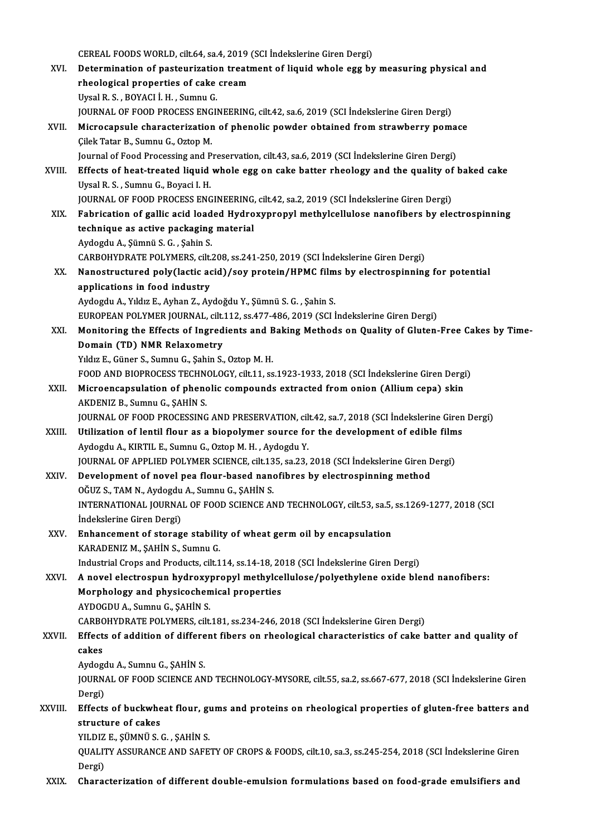CEREAL FOODS WORLD, cilt.64, sa.4, 2019 (SCI İndekslerine Giren Dergi)<br>Determination of pesteuriration treatment of liquid uhole egg br

XVI. Determination of pasteurization treatment of liquid whole egg bymeasuring physical and CEREAL FOODS WORLD, cilt.64, sa.4, 2019<br>Determination of pasteurization treat<br>rheological properties of cake cream<br>Urgel B.S., POVACLL H., Sumny C rheological properties of cake cream<br>Uysal R.S., BOYACI İ.H., Sumnu G. JOURNAL OF FOOD PROCESS ENGINEERING, cilt.42, sa.6, 2019 (SCI İndekslerine Giren Dergi) Uysal R. S. , BOYACI İ. H. , Sumnu G.<br>JOURNAL OF FOOD PROCESS ENGINEERING, cilt.42, sa.6, 2019 (SCI İndekslerine Giren Dergi)<br>XVII. Microcapsule characterization of phenolic powder obtained from strawberry pomace<br>Cilek Tat Çilek Tatar B., Sumnu G., Oztop M.<br>Journal of Food Processing and Preservation, cilt.43, sa.6, 2019 (SCI İndekslerine Giren Dergi) Microcapsule characterization of phenolic powder obtained from strawberry poma<br>Cilek Tatar B., Sumnu G., Oztop M.<br>Journal of Food Processing and Preservation, cilt.43, sa.6, 2019 (SCI İndekslerine Giren Dergi)<br>Fffects of b Cilek Tatar B., Sumnu G., Oztop M.<br>Journal of Food Processing and Preservation, cilt.43, sa.6, 2019 (SCI İndekslerine Giren Dergi)<br>XVIII. Effects of heat-treated liquid whole egg on cake batter rheology and the quality of Journal of Food Processing and P<br>Effects of heat-treated liquid<br>Uysal R. S. , Sumnu G., Boyaci I. H.<br>JOUPMAL OF FOOD PROCESS ENC Effects of heat-treated liquid whole egg on cake batter rheology and the quality of<br>Uysal R. S. , Sumnu G., Boyaci I. H.<br>JOURNAL OF FOOD PROCESS ENGINEERING, cilt.42, sa.2, 2019 (SCI İndekslerine Giren Dergi)<br>Febrisation o Uysal R. S. , Sumnu G., Boyaci I. H.<br>JOURNAL OF FOOD PROCESS ENGINEERING, cilt.42, sa.2, 2019 (SCI İndekslerine Giren Dergi)<br>XIX. Fabrication of gallic acid loaded Hydroxypropyl methylcellulose nanofibers by electrospi technique as active packaging material AydogduA.,Şümnü S.G. ,ŞahinS. technique as active packaging material<br>Aydogdu A., Şümnü S. G. , Şahin S.<br>CARBOHYDRATE POLYMERS, cilt.208, ss.241-250, 2019 (SCI İndekslerine Giren Dergi)<br>Nanostrustured poly(lestis asid) (sey pretein (HBMC films by elestr Aydogdu A., Şümnü S. G. , Şahin S.<br>CARBOHYDRATE POLYMERS, cilt.208, ss.241-250, 2019 (SCI İndekslerine Giren Dergi)<br>XX. Nanostructured poly(lactic acid)/soy protein/HPMC films by electrospinning for potential<br>applications CARBOHYDRATE POLYMERS, cilt.<br>Nanostructured poly (lactic ac<br>applications in food industry Nanostructured poly(lactic acid)/soy protein/HPMC film<br>applications in food industry<br>Aydogdu A., Yıldız E., Ayhan Z., Aydoğdu Y., Şümnü S. G. , Şahin S.<br>EUROPEAN POLYMER JOURNAL, silt 112, 88,477,486, 2019 (SCLI <mark>applications in food industry</mark><br>Aydogdu A., Yıldız E., Ayhan Z., Aydoğdu Y., Şümnü S. G. , Şahin S.<br>EUROPEAN POLYMER JOURNAL, cilt.112, ss.477-486, 2019 (SCI İndekslerine Giren Dergi) Aydogdu A., Yıldız E., Ayhan Z., Aydoğdu Y., Şümnü S. G. , Şahin S.<br>EUROPEAN POLYMER JOURNAL, cilt.112, ss.477-486, 2019 (SCI İndekslerine Giren Dergi)<br>XXI. Monitoring the Effects of Ingredients and Baking Methods on Quali EUROPEAN POLYMER JOURNAL, cilt.<br>Monitoring the Effects of Ingred<br>Domain (TD) NMR Relaxometry<br>Vidiz E. Cüner S. Sumpu C. Sobin S. Monitoring the Effects of Ingredients and B<br>Domain (TD) NMR Relaxometry<br>Yıldız E., Güner S., Sumnu G., Şahin S., Oztop M. H.<br>FOOD AND PIOPPOCESS TECHNOLOCY sit 11 SS Domain (TD) NMR Relaxometry<br>Yıldız E., Güner S., Sumnu G., Şahin S., Oztop M. H.<br>FOOD AND BIOPROCESS TECHNOLOGY, cilt.11, ss.1923-1933, 2018 (SCI İndekslerine Giren Dergi)<br>Misroengansulation of phanolis semnounds extrasted Yıldız E., Güner S., Sumnu G., Şahin S., Oztop M. H.<br>FOOD AND BIOPROCESS TECHNOLOGY, cilt.11, ss.1923-1933, 2018 (SCI İndekslerine Giren Dergi<br>XXII. Microencapsulation of phenolic compounds extracted from onion (Allium cep FOOD AND BIOPROCESS TECHN<br>Microencapsulation of pheno<br>AKDENIZ B., Sumnu G., ŞAHİN S.<br>JOUPNAL OF FOOD PROCESSING Microencapsulation of phenolic compounds extracted from onion (Allium cepa) skin<br>AKDENIZ B., Sumnu G., ŞAHİN S.<br>JOURNAL OF FOOD PROCESSING AND PRESERVATION, cilt.42, sa.7, 2018 (SCI İndekslerine Giren Dergi)<br>Htilization of AKDENIZ B., Sumnu G., ŞAHİN S.<br>JOURNAL OF FOOD PROCESSING AND PRESERVATION, cilt.42, sa.7, 2018 (SCI İndekslerine Giren<br>XXIII. Utilization of lentil flour as a biopolymer source for the development of edible films<br>Avdasdu JOURNAL OF FOOD PROCESSING AND PRESERVATION, cil<br>Utilization of lentil flour as a biopolymer source fo<br>Aydogdu A., KIRTIL E., Sumnu G., Oztop M. H. , Aydogdu Y.<br>JOURNAL OF APPLIED POLYMER SCIENCE, silt 125, SR 22. Utilization of lentil flour as a biopolymer source for the development of edible film<br>Aydogdu A., KIRTIL E., Sumnu G., Oztop M. H. , Aydogdu Y.<br>JOURNAL OF APPLIED POLYMER SCIENCE, cilt.135, sa.23, 2018 (SCI İndekslerine Gi Aydogdu A., KIRTIL E., Sumnu G., Oztop M. H. , Aydogdu Y.<br>JOURNAL OF APPLIED POLYMER SCIENCE, cilt.135, sa.23, 2018 (SCI İndekslerine Giren I<br>XXIV. Development of novel pea flour-based nanofibres by electrospinning method<br> **JOURNAL OF APPLIED POLYMER SCIENCE, cilt.13**<br>Development of novel pea flour-based nanc<br>OĞUZ S., TAM N., Aydogdu A., Sumnu G., ŞAHİN S.<br>INTERNATIONAL JOURNAL OF FOOD SCIENCE AN Development of novel pea flour-based nanofibres by electrospinning method<br>OĞUZ S., TAM N., Aydogdu A., Sumnu G., ŞAHİN S.<br>INTERNATIONAL JOURNAL OF FOOD SCIENCE AND TECHNOLOGY, cilt.53, sa.5, ss.1269-1277, 2018 (SCI OĞUZ S., TAM N., Aydogdu<br>INTERNATIONAL JOURNA<br>İndekslerine Giren Dergi)<br>Enhancamant of stanas INTERNATIONAL JOURNAL OF FOOD SCIENCE AND TECHNOLOGY, cilt.53, sa.5,<br>Indekslerine Giren Dergi)<br>XXV. Enhancement of storage stability of wheat germ oil by encapsulation<br>KARADENIZ M, SAHIN S, Sumpu G İndekslerine Giren Dergi)<br>Enhancement of storage stability of wheat germ oil by encapsulation<br>KARADENIZ M., ŞAHİN S., Sumnu G. Industrial Crops and Products, cilt.114, ss.14-18, 2018 (SCI İndekslerine Giren Dergi) XXVI. A novel electrospun hydroxypropylmethylcel ulose/polyethylene oxide blend nanofibers: Industrial Crops and Products, cilt.114, ss.14-18, 20<br>A novel electrospun hydroxypropyl methylce<br>Morphology and physicochemical properties<br>AYDOCDU A Sumpu G SAHINS A novel electrospun hydroxy<br>Morphology and physicochen<br>AYDOGDU A., Sumnu G., ŞAHİN S.<br>CARROUYDRATE ROLYMERS. silt AYDOGDU A., Sumnu G., ŞAHİN S.<br>CARBOHYDRATE POLYMERS, cilt.181, ss.234-246, 2018 (SCI İndekslerine Giren Dergi) AYDOGDU A., Sumnu G., ŞAHİN S.<br>CARBOHYDRATE POLYMERS, cilt.181, ss.234-246, 2018 (SCI İndekslerine Giren Dergi)<br>XXVII. Effects of addition of different fibers on rheological characteristics of cake batter and quality o CARBC<br>Effect:<br>cakes Effects of addition of differe<br>cakes<br>Aydogdu A., Sumnu G., ŞAHİN S.<br>JOUPNAL OF FOOD SCIENCE AN cakes<br>Aydogdu A., Sumnu G., ŞAHİN S.<br>JOURNAL OF FOOD SCIENCE AND TECHNOLOGY-MYSORE, cilt.55, sa.2, ss.667-677, 2018 (SCI İndekslerine Giren Aydogo<br>JOURN<br>Dergi)<br>Effects JOURNAL OF FOOD SCIENCE AND TECHNOLOGY-MYSORE, cilt.55, sa.2, ss.667-677, 2018 (SCI İndekslerine Giren<br>Dergi)<br>XXVIII. Effects of buckwheat flour, gums and proteins on rheological properties of gluten-free batters and<br>attua Dergi)<br>Effects of buckwhe<br>structure of cakes<br>yu DIZ E. SÜMNÜ S Effects of buckwheat flour, gi<br>structure of cakes<br>YILDIZ E., ŞÜMNÜ S. G. , ŞAHİN S.<br>QUALITY ASSUBANCE AND SAEE structure of cakes<br>YILDIZ E., ŞÜMNÜ S. G. , ŞAHİN S.<br>QUALITY ASSURANCE AND SAFETY OF CROPS & FOODS, cilt.10, sa.3, ss.245-254, 2018 (SCI İndekslerine Giren<br>Dergi) YILDIZ E., SÜMNÜ S. G., SAHİN S. XXIX. Characterization of different double-emulsion formulations based on food-grade emulsifiers and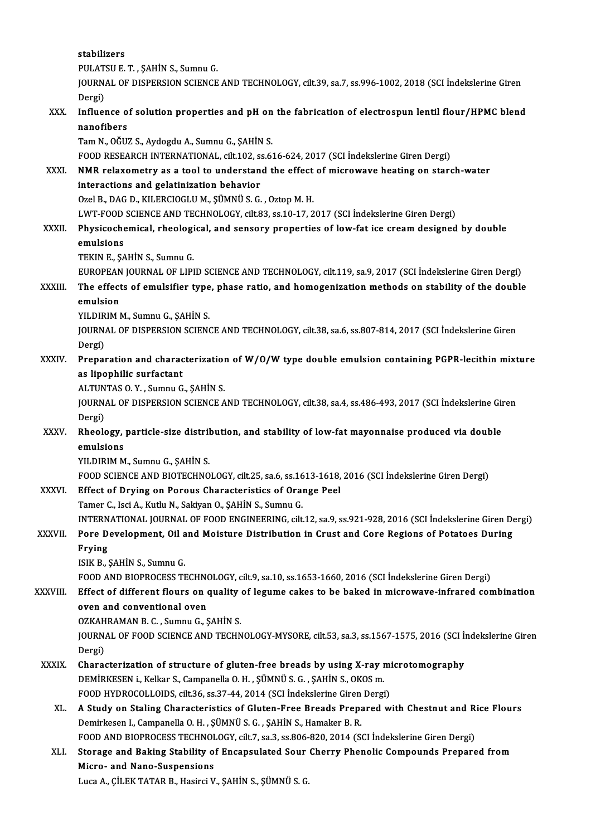stabilizers Stabilizers<br>PULATSU E. T. , ŞAHİN S., Sumnu G.<br>JOUPNAL OE DISPERSION SCIENCE JOURNAL OF DISPERSION SCIENCE AND TECHNOLOGY, cilt.39, sa.7, ss.996-1002, 2018 (SCI İndekslerine Giren<br>Dergi) PULAT<br>JOURN<br>Dergi)<br>Influer JOURNAL OF DISPERSION SCIENCE AND TECHNOLOGY, cilt.39, sa.7, ss.996-1002, 2018 (SCI İndekslerine Giren<br>Dergi)<br>XXX. Influence of solution properties and pH on the fabrication of electrospun lentil flour/HPMC blend<br>nanofiber Dergi)<br>I<mark>nfluence o</mark><br>nanofibers<br>Tam N. Očir Influence of solution properties and pH on<br>nanofibers<br>Tam N., OĞUZ S., Aydogdu A., Sumnu G., ŞAHİN S.<br>FOOD PESEARCH INTERNATIONAL, silt 102, ss.6. nanofibers<br>Tam N., OĞUZ S., Aydogdu A., Sumnu G., ŞAHİN S.<br>FOOD RESEARCH INTERNATIONAL, cilt.102, ss.616-624, 2017 (SCI İndekslerine Giren Dergi) Tam N., OĞUZ S., Aydogdu A., Sumnu G., ŞAHİN S.<br>FOOD RESEARCH INTERNATIONAL, cilt.102, ss.616-624, 2017 (SCI İndekslerine Giren Dergi)<br>XXXI. NMR relaxometry as a tool to understand the effect of microwave heating on starch FOOD RESEARCH INTERNATIONAL, cilt.102, s:<br>NMR relaxometry as a tool to understan<br>interactions and gelatinization behavior<br>Orel B. DAC D. KU ERCIOCLUM, SÜMNÜS C **NMR relaxometry as a tool to understand the effect<br>interactions and gelatinization behavior<br>Ozel B., DAG D., KILERCIOGLUM., ŞÜMNÜ S. G. , Oztop M. H.<br>LWT EOOD SCIENCE AND TECHNOLOCY, silt 93, ss 10, 17, 3** interactions and gelatinization behavior<br>Ozel B., DAG D., KILERCIOGLU M., ŞÜMNÜ S. G. , Oztop M. H.<br>LWT-FOOD SCIENCE AND TECHNOLOGY, cilt.83, ss.10-17, 2017 (SCI İndekslerine Giren Dergi) Ozel B., DAG D., KILERCIOGLU M., ŞÜMNÜ S. G. , Oztop M. H.<br>LWT-FOOD SCIENCE AND TECHNOLOGY, cilt.83, ss.10-17, 2017 (SCI İndekslerine Giren Dergi)<br>XXXII. Physicochemical, rheological, and sensory properties of low-fat ice LWT-FOOD<br>Physicoche<br>emulsions<br>TEVIN E SA Physicochemical, rheologi<br>emulsions<br>TEKIN E., ŞAHİN S., Sumnu G.<br>EUROPEAN JOUPMAL OF LIPI e<mark>mulsions</mark><br>TEKIN E., ŞAHİN S., Sumnu G.<br>EUROPEAN JOURNAL OF LIPID SCIENCE AND TECHNOLOGY, cilt.119, sa.9, 2017 (SCI İndekslerine Giren Dergi) TEKIN E., ŞAHİN S., Sumnu G.<br>EUROPEAN JOURNAL OF LIPID SCIENCE AND TECHNOLOGY, cilt.119, sa.9, 2017 (SCI İndekslerine Giren Dergi)<br>XXXIII. The effects of emulsifier type, phase ratio, and homogenization methods on stab EUROPEAN<br>The effect<br>emulsion<br>YU DIRM ! The effects of emulsifier type<br>emulsion<br>YILDIRIM M., Sumnu G., ŞAHİN S.<br>JOUPMAL OF DISPERSION SCIEN emulsion<br>YILDIRIM M., Sumnu G., ŞAHİN S.<br>JOURNAL OF DISPERSION SCIENCE AND TECHNOLOGY, cilt.38, sa.6, ss.807-814, 2017 (SCI İndekslerine Giren YILDIRIM M., Sumnu G., ŞAHİN S.<br>JOURNAL OF DISPERSION SCIENC<br>Dergi) JOURNAL OF DISPERSION SCIENCE AND TECHNOLOGY, cilt.38, sa.6, ss.807-814, 2017 (SCI Indekslerine Giren<br>Dergi)<br>XXXIV. Preparation and characterization of W/O/W type double emulsion containing PGPR-lecithin mixture<br>as lineabi Dergi)<br>Preparation and charac<br>as lipophilic surfactant<br>ALTINTAS O. V. Sumnu C Preparation and characterization<br>as lipophilic surfactant<br>ALTUNTAS 0.Y., Sumnu G., ŞAHİN S.<br>JOUPNAL OF DISPERSION SCIENCE A as lipophilic surfactant<br>ALTUNTAS O. Y. , Sumnu G., ȘAHİN S.<br>JOURNAL OF DISPERSION SCIENCE AND TECHNOLOGY, cilt.38, sa.4, ss.486-493, 2017 (SCI İndekslerine Giren<br>Dergi) ALTUNTAS O.Y., Sumnu G., SAHIN S. JOURNAL OF DISPERSION SCIENCE AND TECHNOLOGY, cilt.38, sa.4, ss.486-493, 2017 (SCI İndekslerine Gir<br>Dergi)<br>XXXV. Rheology, particle-size distribution, and stability of low-fat mayonnaise produced via double<br>omulsions Dergi)<br><mark>Rheology,</mark><br>emulsions<br><sup>VII DIPIM M</sub></sup> Rheology, particle-size distril<br>emulsions<br>YILDIRIM M., Sumnu G., ŞAHİN S.<br>FOOD SCIENCE AND PIOTECHNO emulsions<br>YILDIRIM M., Sumnu G., ŞAHİN S.<br>FOOD SCIENCE AND BIOTECHNOLOGY, cilt.25, sa.6, ss.1613-1618, 2016 (SCI İndekslerine Giren Dergi)<br>Effect of Daving on Bonous Characteristics of Orange Bool YILDIRIM M., Sumnu G., ŞAHİN S.<br>FOOD SCIENCE AND BIOTECHNOLOGY, cilt.25, sa.6, ss.1613-1618,<br>XXXVI. Effect of Drying on Porous Characteristics of Orange Peel<br>Temen C. Isgi A. Kutlu N. Sekiyan O. SAHİN S. Sumnu C. FOOD SCIENCE AND BIOTECHNOLOGY, cilt.25, sa.6, ss.16<br>Effect of Drying on Porous Characteristics of Oral<br>Tamer C., Isci A., Kutlu N., Sakiyan O., ŞAHİN S., Sumnu G.<br>INTERNATIONAL JOURNAL OF FOOD ENGINEERING silt Effect of Drying on Porous Characteristics of Orange Peel<br>Tamer C., Isci A., Kutlu N., Sakiyan O., ŞAHİN S., Sumnu G.<br>INTERNATIONAL JOURNAL OF FOOD ENGINEERING, cilt.12, sa.9, ss.921-928, 2016 (SCI İndekslerine Giren Dergi Tamer C., Isci A., Kutlu N., Sakiyan O., ŞAHİN S., Sumnu G.<br>INTERNATIONAL JOURNAL OF FOOD ENGINEERING, cilt.12, sa.9, ss.921-928, 2016 (SCI İndekslerine Giren De<br>XXXVII. Pore Development, Oil and Moisture Distribution in C INTERN<br>Pore D<br>Frying<br>ISIV P Pore Development, Oil a<br>Frying<br>ISIK B., ŞAHİN S., Sumnu G.<br>FOOD AND PIOPPOCESS TI Frying<br>ISIK B., ŞAHİN S., Sumnu G.<br>FOOD AND BIOPROCESS TECHNOLOGY, cilt.9, sa.10, ss.1653-1660, 2016 (SCI İndekslerine Giren Dergi) ISIK B., ŞAHİN S., Sumnu G.<br>FOOD AND BIOPROCESS TECHNOLOGY, cilt.9, sa.10, ss.1653-1660, 2016 (SCI İndekslerine Giren Dergi)<br>XXXVIII. Effect of different flours on quality of legume cakes to be baked in microwave-infrared FOOD AND BIOPROCESS TECHN<br>Effect of different flours on a<br>oven and conventional oven<br>OZKAHBAMAN B.C. Sumpu C.S Effect of different flours on quality<br>oven and conventional oven<br>OZKAHRAMAN B.C., Sumnu G., ŞAHİN S.<br>JOUPMAL OF FOOD SCIENCE AND TECHN oven and conventional oven<br>OZKAHRAMAN B. C. , Sumnu G., ŞAHİN S.<br>JOURNAL OF FOOD SCIENCE AND TECHNOLOGY-MYSORE, cilt.53, sa.3, ss.1567-1575, 2016 (SCI İndekslerine Giren<br>Persi) OZKAH<br>JOURN<br>Dergi)<br>Charae JOURNAL OF FOOD SCIENCE AND TECHNOLOGY-MYSORE, cilt.53, sa.3, ss.1567-1575, 2016 (SCI h<br>Dergi)<br>XXXIX. Characterization of structure of gluten-free breads by using X-ray microtomography<br>DEMIDVESEN i. Vollar S. Companella O. Dergi)<br>Characterization of structure of gluten-free breads by using X-ray r<br>DEMİRKESEN i., Kelkar S., Campanella O. H. , ŞÜMNÜ S. G. , ŞAHİN S., OKOS m.<br>FOOD HYDROCOLLOIDS. silt 36, 88.37.44.2914 (SCL İndekslerine Ciren De Characterization of structure of gluten-free breads by using X-ray mi<br>DEMİRKESEN i., Kelkar S., Campanella O. H. , ŞÜMNÜ S. G. , ŞAHİN S., OKOS m.<br>FOOD HYDROCOLLOIDS, cilt.36, ss.37-44, 2014 (SCI İndekslerine Giren Dergi)<br> DEMIRKESEN i., Kelkar S., Campanella O. H. , ŞÜMNÜ S. G. , ŞAHİN S., OKOS m.<br>FOOD HYDROCOLLOIDS, cilt.36, ss.37-44, 2014 (SCI İndekslerine Giren Dergi)<br>XL. A Study on Staling Characteristics of Gluten-Free Breads Prepa Demirkesen I., Campanella O. H., ŞÜMNÜ S. G., ŞAHİN S., Hamaker B. R. A Study on Staling Characteristics of Gluten-Free Breads Prepared with Chestnut and R<br>Demirkesen I., Campanella O. H. , ŞÜMNÜ S. G. , ŞAHİN S., Hamaker B. R.<br>FOOD AND BIOPROCESS TECHNOLOGY, cilt.7, sa.3, ss.806-820, 2014 ( Demirkesen I., Campanella O. H. , ŞÜMNÜ S. G. , ŞAHİN S., Hamaker B. R.<br>FOOD AND BIOPROCESS TECHNOLOGY, cilt.7, sa.3, ss.806-820, 2014 (SCI İndekslerine Giren Dergi)<br>XLI. Storage and Baking Stability of Encapsulated Sour C FOOD AND BIOPROCESS TECHNOL<br>Storage and Baking Stability of<br>Micro- and Nano-Suspensions<br>Luga A. Cit EV TATAR B. Hasing V. Storage and Baking Stability of Encapsulated Sour Cherry Phenolic Compounds Prepared from<br>Micro- and Nano-Suspensions<br>Luca A., ÇİLEK TATAR B., Hasirci V., ŞAHİN S., ŞÜMNÜ S. G.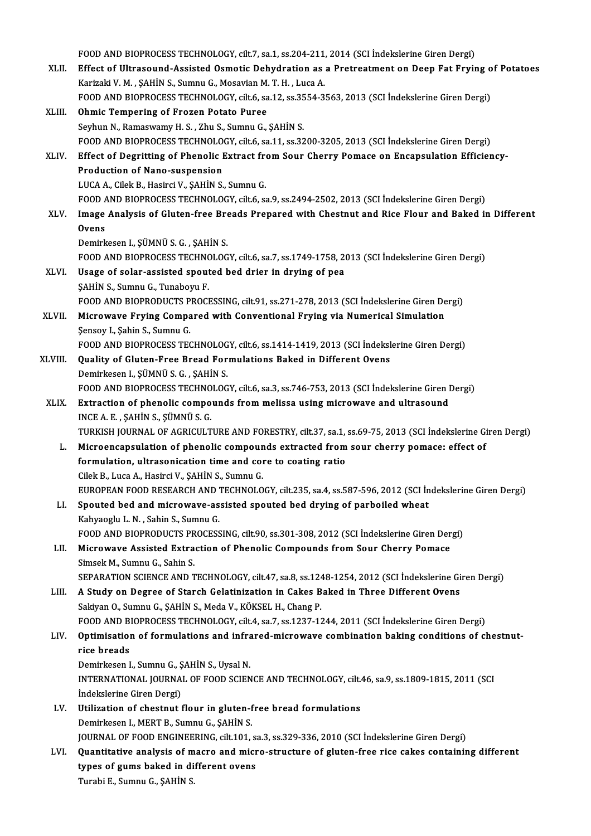FOOD AND BIOPROCESS TECHNOLOGY, cilt.7, sa.1, ss.204-211, 2014 (SCI İndekslerine Giren Dergi)<br>Fffest of Ultresound Assisted Osmatis Debydration as a Pretreatment on Deep Fot Favis FOOD AND BIOPROCESS TECHNOLOGY, cilt.7, sa.1, ss.204-211, 2014 (SCI İndekslerine Giren Dergi)<br>XLII. Effect of Ultrasound-Assisted Osmotic Dehydration as a Pretreatment on Deep Fat Frying of Potatoes FOOD AND BIOPROCESS TECHNOLOGY, cilt.7, sa.1, ss.204-211,<br>Effect of Ultrasound-Assisted Osmotic Dehydration as<br>Karizaki V. M. , SAHİN S., Sumnu G., Mosavian M. T. H. , Luca A.<br>FOOD AND BIOPROCESS TECUNOLOCY, silt 6, ss.212 Effect of Ultrasound-Assisted Osmotic Dehydration as a Pretreatment on Deep Fat Frying o<br>Karizaki V. M. , ŞAHİN S., Sumnu G., Mosavian M. T. H. , Luca A.<br>FOOD AND BIOPROCESS TECHNOLOGY, cilt.6, sa.12, ss.3554-3563, 2013 (S Karizaki V. M. , ŞAHİN S., Sumnu G., Mosavian M. T. H. , Luca A.<br>FOOD AND BIOPROCESS TECHNOLOGY, cilt.6, sa.12, ss.3554-3!<br>XLIII. **Ohmic Tempering of Frozen Potato Puree**<br>Seyhun N., Ramaswamy H. S. , Zhu S., Sumnu G., FOOD AND BIOPROCESS TECHNOLOGY, cilt.6, sa.12, ss.3554-3563, 2013 (SCI Indekslerine Giren Dergi) Ohmic Tempering of Frozen Potato Puree<br>Seyhun N., Ramaswamy H. S. , Zhu S., Sumnu G., ŞAHİN S.<br>FOOD AND BIOPROCESS TECHNOLOGY, cilt.6, sa.11, ss.3200-3205, 2013 (SCI İndekslerine Giren Dergi)<br>Effect of Degritting of Phonol Seyhun N., Ramaswamy H. S. , Zhu S., Sumnu G., ŞAHİN S.<br>FOOD AND BIOPROCESS TECHNOLOGY, cilt.6, sa.11, ss.3200-3205, 2013 (SCI İndekslerine Giren Dergi)<br>XLIV. Effect of Degritting of Phenolic Extract from Sour Cherry Pomac FOOD AND BIOPROCESS TECHNOLO<br>Effect of Degritting of Phenolic I<br>Production of Nano-suspension<br>LUCA A Gigli B Hosirsi V, SAHIN S Effect of Degritting of Phenolic Extract free<br>Production of Nano-suspension<br>LUCA A., Cilek B., Hasirci V., ŞAHİN S., Sumnu G.<br>FOOD AND PIOPPOCESS TECUNOLOCY silt 6-66 Production of Nano-suspension<br>LUCA A., Cilek B., Hasirci V., ŞAHİN S., Sumnu G.<br>FOOD AND BIOPROCESS TECHNOLOGY, cilt.6, sa.9, ss.2494-2502, 2013 (SCI İndekslerine Giren Dergi)<br>Image Analysis of Cluten free Breads Breananed LUCA A., Cilek B., Hasirci V., ŞAHİN S., Sumnu G.<br>FOOD AND BIOPROCESS TECHNOLOGY, cilt.6, sa.9, ss.2494-2502, 2013 (SCI İndekslerine Giren Dergi)<br>XLV. Image Analysis of Gluten-free Breads Prepared with Chestnut and Rice Fl FOOD A<br>Image<br>Ovens Demirkesen I., ŞÜMNÜ S. G., ŞAHİN S. Ovens<br>Demirkesen I., ŞÜMNÜ S. G. , ŞAHİN S.<br>FOOD AND BIOPROCESS TECHNOLOGY, cilt.6, sa.7, ss.1749-1758, 2013 (SCI İndekslerine Giren Dergi)<br>Haage of salar assistad apouted bed driar in drying of nea Demirkesen I., ŞÜMNÜ S. G., ŞAHİN S.<br>FOOD AND BIOPROCESS TECHNOLOGY, cilt.6, sa.7, ss.1749-1758, 2<br>XLVI. Usage of solar-assisted spouted bed drier in drying of pea FOOD AND BIOPROCESS TECHNO<br>Usage of solar-assisted spout<br>SAHIN S., Sumnu G., Tunaboyu F.<br>FOOD AND BIOPRODUCTS BROCH Usage of solar-assisted spouted bed drier in drying of pea<br>SAHIN S., Sumnu G., Tunaboyu F.<br>FOOD AND BIOPRODUCTS PROCESSING, cilt.91, ss.271-278, 2013 (SCI İndekslerine Giren Dergi) SAHIN S., Sumnu G., Tunaboyu F.<br>FOOD AND BIOPRODUCTS PROCESSING, cilt.91, ss.271-278, 2013 (SCI Indekslerine Giren De<br>XLVII. Microwave Frying Compared with Conventional Frying via Numerical Simulation FOOD AND BIOPRODUCTS P<br>Microwave Frying Compa<br>Sensoy I., Şahin S., Sumnu G.<br>FOOD AND BIOPROCESS TEC Microwave Frying Compared with Conventional Frying via Numerical Simulation<br>Şensoy I., Şahin S., Sumnu G.<br>FOOD AND BIOPROCESS TECHNOLOGY, cilt.6, ss.1414-1419, 2013 (SCI İndekslerine Giren Dergi)<br>Quality of Clutan Erae Bra Sensoy I., Şahin S., Sumnu G.<br>FOOD AND BIOPROCESS TECHNOLOGY, cilt.6, ss.1414-1419, 2013 (SCI İndeksl<br>XLVIII. Quality of Gluten-Free Bread Formulations Baked in Different Ovens<br>Demirkesen I., ŞÜMNÜ S. G. , ŞAHİN S. FOOD AND BIOPROCESS TECHNOLOGY, cilt.6, ss.1414-1419, 2013 (SCI İndekslerine Giren Dergi) Quality of Gluten-Free Bread Formulations Baked in Different Ovens<br>Demirkesen I., ŞÜMNÜ S. G. , ŞAHİN S.<br>FOOD AND BIOPROCESS TECHNOLOGY, cilt.6, sa.3, ss.746-753, 2013 (SCI İndekslerine Giren Dergi)<br>Extrastion of phonolis XLIX. Extraction of phenolic compounds from melissa using microwave and ultrasound<br>INCE A. E., SAHIN S., SÜMNÜ S. G. FOOD AND BIOPROCESS TECHNO<br>Extraction of phenolic compo<br>INCE A. E. , ŞAHİN S., ŞÜMNÜ S. G.<br>TURKISH IQURNAL OF ACRICULT TURKISH JOURNAL OF AGRICULTURE AND FORESTRY, cilt.37, sa.1, ss.69-75, 2013 (SCI İndekslerine Giren Dergi) L. Microencapsulation of phenolic compounds extracted fromsour cherry pomace: effect of TURKISH JOURNAL OF AGRICULTURE AND FORESTRY, cilt.37, sa.1,<br>Microencapsulation of phenolic compounds extracted from<br>formulation, ultrasonication time and core to coating ratio<br>Gilek B. Luga A. Hasing V. SAHIN S. Sumpu G. Microencapsulation of phenolic compoun<br>formulation, ultrasonication time and concilek B., Luca A., Hasirci V., ŞAHİN S., Sumnu G.<br>FUROPEAN FOOD RESEARCH AND TECHNOLO Cilek B., Luca A., Hasirci V., ŞAHİN S., Sumnu G.<br>EUROPEAN FOOD RESEARCH AND TECHNOLOGY, cilt.235, sa.4, ss.587-596, 2012 (SCI İndekslerine Giren Dergi) Cilek B., Luca A., Hasirci V., ŞAHİN S., Sumnu G.<br>EUROPEAN FOOD RESEARCH AND TECHNOLOGY, cilt.235, sa.4, ss.587-596, 2012 (SCI İn<br>LI. Spouted bed and microwave-assisted spouted bed drying of parboiled wheat<br>Kakyaarly L.N., EUROPEAN FOOD RESEARCH AND<br>Spouted bed and microwave-as<br>Kahyaoglu L.N., Sahin S., Sumnu G.<br>FOOD AND PIOPPODUCTS PROCESS Kahyaoglu L. N. , Sahin S., Sumnu G.<br>FOOD AND BIOPRODUCTS PROCESSING, cilt.90, ss.301-308, 2012 (SCI İndekslerine Giren Dergi) Kahyaoglu L. N. , Sahin S., Sumnu G.<br>FOOD AND BIOPRODUCTS PROCESSING, cilt.90, ss.301-308, 2012 (SCI İndekslerine Giren Der<br>LII. Microwave Assisted Extraction of Phenolic Compounds from Sour Cherry Pomace<br>Simeek M. Sumnu C FOOD AND BIOPRODUCTS PR<br>Microwave Assisted Extra<br>Simsek M., Sumnu G., Sahin S.<br>SERARATION SCIENCE AND T Simsek M., Sumnu G., Sahin S.<br>SEPARATION SCIENCE AND TECHNOLOGY, cilt.47, sa.8, ss.1248-1254, 2012 (SCI İndekslerine Giren Dergi) Simsek M., Sumnu G., Sahin S.<br>SEPARATION SCIENCE AND TECHNOLOGY, cilt.47, sa.8, ss.1248-1254, 2012 (SCI İndekslerine Gi<br>LIII. A Study on Degree of Starch Gelatinization in Cakes Baked in Three Different Ovens Sakiyan O., Sumnu G., ŞAHİN S., Meda V., KÖKSEL H., Chang P.<br>FOOD AND BIOPROCESS TECHNOLOGY, cilt.4, sa.7, ss.1237-1244, 2011 (SCI İndekslerine Giren Dergi) A Study on Degree of Starch Gelatinization in Cakes Baked in Three Different Ovens<br>Sakiyan 0., Sumnu G., ŞAHİN S., Meda V., KÖKSEL H., Chang P.<br>FOOD AND BIOPROCESS TECHNOLOGY, cilt.4, sa.7, ss.1237-1244, 2011 (SCI İndeksle Sakiyan O., Sumnu G., ŞAHİN S., Meda V., KÖKSEL H., Chang P.<br>FOOD AND BIOPROCESS TECHNOLOGY, cilt.4, sa.7, ss.1237-1244, 2011 (SCI İndekslerine Giren Dergi)<br>LIV. Optimisation of formulations and infrared-microwave comb FOOD AND B<br>Optimisation<br>rice breads<br>Demirkeeen L **Optimisation of formulations and infrancie breads<br>Demirkesen I., Sumnu G., ŞAHİN S., Uysal N.<br>INTERNATIONAL JOURNAL OF FOOD SCIEN** rice breads<br>Demirkesen I., Sumnu G., ŞAHİN S., Uysal N.<br>INTERNATIONAL JOURNAL OF FOOD SCIENCE AND TECHNOLOGY, cilt.46, sa.9, ss.1809-1815, 2011 (SCI<br>İndekslerine Giren Dergi) Demirkesen I., Sumnu G., ŞAHİN S., Uysal N. LV. Utilization of chestnut flour in gluten-free bread formulations Demirkesen I., MERT B., Sumnu G., ŞAHİN S. Utilization of chestnut flour in gluten-free bread formulations<br>Demirkesen I., MERT B., Sumnu G., ŞAHİN S.<br>JOURNAL OF FOOD ENGINEERING, cilt.101, sa.3, ss.329-336, 2010 (SCI İndekslerine Giren Dergi)<br>Quantitative analysis Demirkesen I., MERT B., Sumnu G., ŞAHİN S.<br>JOURNAL OF FOOD ENGINEERING, cilt.101, sa.3, ss.329-336, 2010 (SCI İndekslerine Giren Dergi)<br>LVI. Quantitative analysis of macro and micro-structure of gluten-free rice cakes cont JOURNAL OF FOOD ENGINEERING, cilt.101, s.<br>Quantitative analysis of macro and micr<br>types of gums baked in different ovens<br>Turobi E. Sumpy C. SAHIN S. Quantitative analysis of macro and micro-structure of gluten-free rice cakes containing different<br>types of gums baked in different ovens<br>Turabi E., Sumnu G., SAHİN S.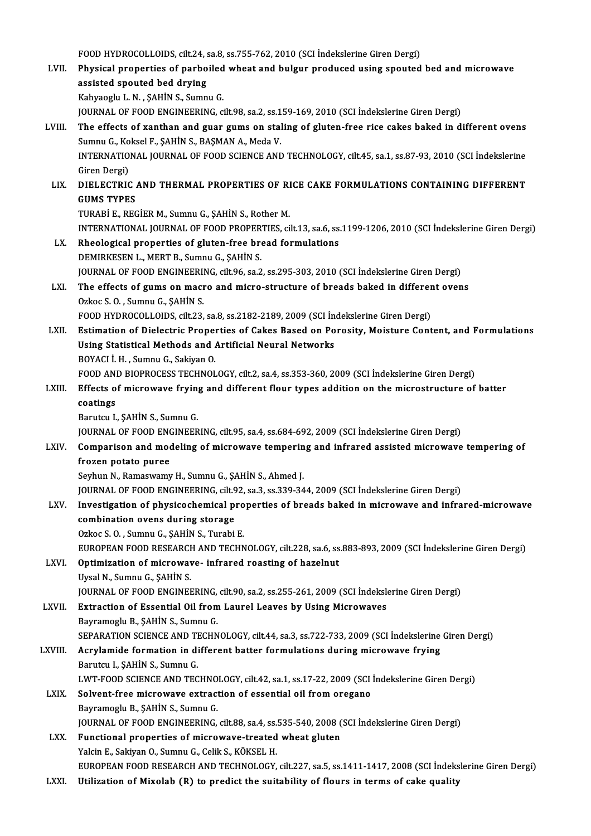FOOD HYDROCOLLOIDS, cilt.24, sa.8, ss.755-762, 2010 (SCI İndekslerine Giren Dergi)<br>Physical prepertise of perheiled wheet and bulgur preduced using speuted

|         | FOOD HYDROCOLLOIDS, cilt.24, sa.8, ss.755-762, 2010 (SCI Indekslerine Giren Dergi)                                            |
|---------|-------------------------------------------------------------------------------------------------------------------------------|
| LVII.   | Physical properties of parboiled wheat and bulgur produced using spouted bed and microwave                                    |
|         | assisted spouted bed drying                                                                                                   |
|         | Kahyaoglu L. N., ŞAHİN S., Sumnu G.                                                                                           |
|         | JOURNAL OF FOOD ENGINEERING, cilt.98, sa.2, ss.159-169, 2010 (SCI Indekslerine Giren Dergi)                                   |
| LVIII.  | The effects of xanthan and guar gums on staling of gluten-free rice cakes baked in different ovens                            |
|         | Sumnu G., Koksel F., ŞAHİN S., BAŞMAN A., Meda V.                                                                             |
|         | INTERNATIONAL JOURNAL OF FOOD SCIENCE AND TECHNOLOGY, cilt.45, sa.1, ss.87-93, 2010 (SCI Indekslerine                         |
|         | Giren Dergi)<br>DIELECTRIC AND THERMAL PROPERTIES OF RICE CAKE FORMULATIONS CONTAINING DIFFERENT                              |
| LIX.    | <b>GUMS TYPES</b>                                                                                                             |
|         | TURABİ E., REGİER M., Sumnu G., ŞAHİN S., Rother M.                                                                           |
|         | INTERNATIONAL JOURNAL OF FOOD PROPERTIES, cilt.13, sa.6, ss.1199-1206, 2010 (SCI Indekslerine Giren Dergi)                    |
| LX.     | Rheological properties of gluten-free bread formulations                                                                      |
|         | DEMIRKESEN L., MERT B., Sumnu G., ŞAHİN S.                                                                                    |
|         | JOURNAL OF FOOD ENGINEERING, cilt.96, sa.2, ss.295-303, 2010 (SCI Indekslerine Giren Dergi)                                   |
| LXI.    | The effects of gums on macro and micro-structure of breads baked in different ovens                                           |
|         | Ozkoc S.O., Sumnu G., SAHIN S.                                                                                                |
|         | FOOD HYDROCOLLOIDS, cilt.23, sa.8, ss.2182-2189, 2009 (SCI Indekslerine Giren Dergi)                                          |
| LXII.   | Estimation of Dielectric Properties of Cakes Based on Porosity, Moisture Content, and Formulations                            |
|         | Using Statistical Methods and Artificial Neural Networks                                                                      |
|         | BOYACI İ. H., Sumnu G., Sakiyan O.                                                                                            |
|         | FOOD AND BIOPROCESS TECHNOLOGY, cilt.2, sa.4, ss.353-360, 2009 (SCI İndekslerine Giren Dergi)                                 |
| LXIII.  | Effects of microwave frying and different flour types addition on the microstructure of batter                                |
|         | coatings                                                                                                                      |
|         | Barutcu I., ŞAHİN S., Sumnu G.<br>JOURNAL OF FOOD ENGINEERING, cilt.95, sa.4, ss.684-692, 2009 (SCI Indekslerine Giren Dergi) |
| LXIV.   | Comparison and modeling of microwave tempering and infrared assisted microwave tempering of                                   |
|         | frozen potato puree                                                                                                           |
|         | Seyhun N., Ramaswamy H., Sumnu G., ŞAHİN S., Ahmed J.                                                                         |
|         | JOURNAL OF FOOD ENGINEERING, cilt.92, sa.3, ss.339-344, 2009 (SCI Indekslerine Giren Dergi)                                   |
| LXV.    | Investigation of physicochemical properties of breads baked in microwave and infrared-microwave                               |
|         | combination ovens during storage                                                                                              |
|         | Ozkoc S.O., Sumnu G., ŞAHİN S., Turabi E.                                                                                     |
|         | EUROPEAN FOOD RESEARCH AND TECHNOLOGY, cilt.228, sa.6, ss.883-893, 2009 (SCI İndekslerine Giren Dergi)                        |
| LXVI.   | Optimization of microwave- infrared roasting of hazelnut                                                                      |
|         | Uysal N., Sumnu G., ŞAHİN S.                                                                                                  |
|         | JOURNAL OF FOOD ENGINEERING, cilt.90, sa.2, ss.255-261, 2009 (SCI Indekslerine Giren Dergi)                                   |
| LXVII.  | Extraction of Essential Oil from Laurel Leaves by Using Microwaves                                                            |
|         | Bayramoglu B., ŞAHİN S., Sumnu G.                                                                                             |
|         | SEPARATION SCIENCE AND TECHNOLOGY, cilt.44, sa.3, ss.722-733, 2009 (SCI İndekslerine Giren Dergi)                             |
| LXVIII. | Acrylamide formation in different batter formulations during microwave frying<br>Barutcu I., ŞAHİN S., Sumnu G.               |
|         | LWT-FOOD SCIENCE AND TECHNOLOGY, cilt.42, sa.1, ss.17-22, 2009 (SCI İndekslerine Giren Dergi)                                 |
| LXIX.   | Solvent-free microwave extraction of essential oil from oregano                                                               |
|         | Bayramoglu B., ŞAHİN S., Sumnu G.                                                                                             |
|         | JOURNAL OF FOOD ENGINEERING, cilt.88, sa.4, ss.535-540, 2008 (SCI Indekslerine Giren Dergi)                                   |
| LXX.    | Functional properties of microwave-treated wheat gluten                                                                       |
|         | Yalcin E., Sakiyan O., Sumnu G., Celik S., KÖKSEL H.                                                                          |
|         | EUROPEAN FOOD RESEARCH AND TECHNOLOGY, cilt.227, sa.5, ss.1411-1417, 2008 (SCI İndekslerine Giren Dergi)                      |
| LXXI.   | Utilization of Mixolab (R) to predict the suitability of flours in terms of cake quality                                      |
|         |                                                                                                                               |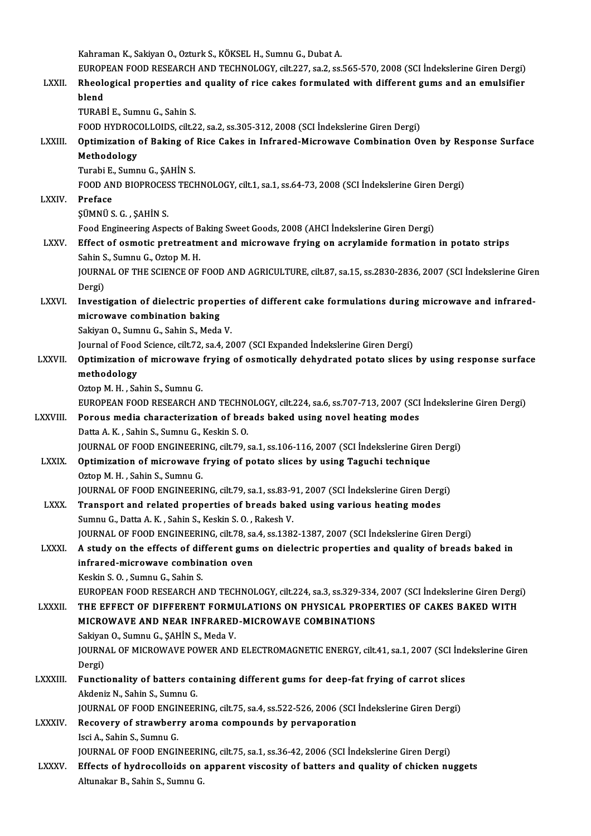Kahraman K., Sakiyan O., Ozturk S., KÖKSEL H., Sumnu G., Dubat A. Kahraman K., Sakiyan O., Ozturk S., KÖKSEL H., Sumnu G., Dubat A.<br>EUROPEAN FOOD RESEARCH AND TECHNOLOGY, cilt.227, sa.2, ss.565-570, 2008 (SCI İndekslerine Giren Dergi)<br>Phoologisal proportise and quality of pise sakes form Kahraman K., Sakiyan O., Ozturk S., KÖKSEL H., Sumnu G., Dubat A.<br>EUROPEAN FOOD RESEARCH AND TECHNOLOGY, cilt.227, sa.2, ss.565-570, 2008 (SCI İndekslerine Giren Dergi)<br>LXXII. Rheological properties and quality of rice EUROP<br><mark>Rheolo</mark><br>blend<br>TUDAP Rheological properties an<br>blend<br>TURABİ E., Sumnu G., Sahin S.<br>FOOD HYDBOCOLLOIDS. cilt 2 blend<br>TURABİ E., Sumnu G., Sahin S.<br>FOOD HYDROCOLLOIDS, cilt.22, sa.2, ss.305-312, 2008 (SCI İndekslerine Giren Dergi) TURABİ E., Sumnu G., Sahin S.<br>FOOD HYDROCOLLOIDS, cilt.22, sa.2, ss.305-312, 2008 (SCI İndekslerine Giren Dergi)<br>LXXIII. Optimization of Baking of Rice Cakes in Infrared-Microwave Combination Oven by Response Surface<br>M FOOD HYDROC<br>Optimization<br>Methodology<br>Turabi E. Sumn **Optimization of Baking of<br>Methodology<br>Turabi E., Sumnu G., ŞAHİN S.<br>EOOD AND BIOBBOCESS TECI** Methodology<br>Turabi E., Sumnu G., ŞAHİN S.<br>FOOD AND BIOPROCESS TECHNOLOGY, cilt.1, sa.1, ss.64-73, 2008 (SCI İndekslerine Giren Dergi) Turabi E.<br>FOOD AN<br>LXXIV. Preface FOOD AND BIOPROCES<br>Preface<br>ŞÜMNÜ S. G. , ŞAHİN S.<br>Food Engineering Aene Preface<br>ŞÜMNÜ S. G. , ŞAHİN S.<br>Food Engineering Aspects of Baking Sweet Goods, 2008 (AHCI İndekslerine Giren Dergi) SÜMNÜ S. G. , ŞAHİN S.<br>Food Engineering Aspects of Baking Sweet Goods, 2008 (AHCI İndekslerine Giren Dergi)<br>LXXV. Effect of osmotic pretreatment and microwave frying on acrylamide formation in potato strips<br>Sabin S. Su Food Engineering Aspects of B<br>Effect of osmotic pretreatm<br>Sahin S., Sumnu G., Oztop M. H.<br>JOUPMAL OF THE SCIENCE OF Effect of osmotic pretreatment and microwave frying on acrylamide formation in potato strips<br>Sahin S., Sumnu G., Oztop M. H.<br>JOURNAL OF THE SCIENCE OF FOOD AND AGRICULTURE, cilt.87, sa.15, ss.2830-2836, 2007 (SCI İndeksler Sahin S<br>JOURN<br>Dergi)<br>Invest JOURNAL OF THE SCIENCE OF FOOD AND AGRICULTURE, cilt.87, sa.15, ss.2830-2836, 2007 (SCI İndekslerine Gire:<br>Dergi)<br>LXXVI. Investigation of dielectric properties of different cake formulations during microwave and infrared-<br> Dergi)<br>LXXVI. Investigation of dielectric properties of different cake formulations during microwave and infrared-<br>microwave combination baking Sakiyan O., Sumnu G., Sahin S., Meda V. Journal of Food Science, cilt.72, sa.4, 2007 (SCI Expanded İndekslerine Giren Dergi) LXXVII. Optimization of microwave frying of osmotically dehydrated potato slices by using response surface methodology Oztop M.H., Sahin S., Sumnu G. methodology<br>Oztop M. H. , Sahin S., Sumnu G.<br>EUROPEAN FOOD RESEARCH AND TECHNOLOGY, cilt.224, sa.6, ss.707-713, 2007 (SCI İndekslerine Giren Dergi)<br>Pereus media sharastarization of breads baked using nevel besting medes LXXVIII. Porous media characterization of breads baked using novel heating modes<br>Datta A. K., Sahin S., Sumnu G., Keskin S. O. EUROPEAN FOOD RESEARCH AND TECHN<br>Porous media characterization of bre<br>Datta A.K., Sahin S., Sumnu G., Keskin S. O.<br>JOUPNAL OF FOOD ENCINEEPINC, silt 70 JOURNALOF FOODENGINEERING, cilt.79, sa.1, ss.106-116,2007 (SCI İndekslerineGirenDergi) Datta A. K., Sahin S., Sumnu G., Keskin S. O.<br>JOURNAL OF FOOD ENGINEERING, cilt.79, sa.1, ss.106-116, 2007 (SCI İndekslerine Giren<br>LXXIX. Optimization of microwave frying of potato slices by using Taguchi technique<br>Orton M **JOURNAL OF FOOD ENGINEERI<br>Optimization of microwave :<br>Oztop M. H. , Sahin S., Sumnu G.<br>JOUPNAL OF FOOD ENGINEERI** Optimization of microwave frying of potato slices by using Taguchi technique<br>Oztop M. H. , Sahin S., Sumnu G.<br>JOURNAL OF FOOD ENGINEERING, cilt.79, sa.1, ss.83-91, 2007 (SCI İndekslerine Giren Dergi)<br>Transport and related Oztop M. H., Sahin S., Sumnu G.<br>JOURNAL OF FOOD ENGINEERING, cilt.79, sa.1, ss.83-91, 2007 (SCI İndekslerine Giren Derg<br>LXXX. Transport and related properties of breads baked using various heating modes JOURNAL OF FOOD ENGINEERING, cilt.79, sa.1, ss.83-9<br>Transport and related properties of breads bak<br>Sumnu G., Datta A. K. , Sahin S., Keskin S. O. , Rakesh V.<br>JOURNAL OF FOOD ENGINEERING, silt 79, sa 4, ss 129; Sumnu G., Datta A. K. , Sahin S., Keskin S. O. , Rakesh V.<br>JOURNAL OF FOOD ENGINEERING, cilt.78, sa.4, ss.1382-1387, 2007 (SCI İndekslerine Giren Dergi) Sumnu G., Datta A. K. , Sahin S., Keskin S. O. , Rakesh V.<br>JOURNAL OF FOOD ENGINEERING, cilt.78, sa.4, ss.1382-1387, 2007 (SCI Indekslerine Giren Dergi)<br>LXXXI. A study on the effects of different gums on dielectric propert JOURNAL OF FOOD ENGINEERING, cilt.78, sa<br>A study on the effects of different gum:<br>infrared-microwave combination oven A study on the effects of dif<br>infrared-microwave combin<br>Keskin S. O. , Sumnu G., Sahin S.<br>EUROPEAN FOOD PESEARCH A i<mark>nfrared-microwave combination oven</mark><br>Keskin S. O. , Sumnu G., Sahin S.<br>EUROPEAN FOOD RESEARCH AND TECHNOLOGY, cilt.224, sa.3, ss.329-334, 2007 (SCI İndekslerine Giren Dergi)<br>THE EEEECT OF DIEFERENT FORMULATIONS ON RHYSICA Keskin S. O. , Sumnu G., Sahin S.<br>EUROPEAN FOOD RESEARCH AND TECHNOLOGY, cilt.224, sa.3, ss.329-334, 2007 (SCI Indekslerine Giren Derg<br>LXXXII. THE EFFECT OF DIFFERENT FORMULATIONS ON PHYSICAL PROPERTIES OF CAKES BAKED WITH EUROPEAN FOOD RESEARCH AND TECHNOLOGY, cilt.224, sa.3, ss.329-334,<br>THE EFFECT OF DIFFERENT FORMULATIONS ON PHYSICAL PROPE<br>MICROWAVE AND NEAR INFRARED-MICROWAVE COMBINATIONS<br>Sakiyan O, Sumpu G, SAHIN S, Moda V, THE EFFECT OF DIFFERENT FORMULATIONS ON PHYSICAL PROPERTIES OF CAKES BAKED WITH MICROWAVE AND NEAR INFRARED-MICROWAVE COMBINATIONS MICROWAVE AND NEAR INFRARED-MICROWAVE COMBINATIONS<br>Sakiyan O., Sumnu G., ŞAHİN S., Meda V.<br>JOURNAL OF MICROWAVE POWER AND ELECTROMAGNETIC ENERGY, cilt.41, sa.1, 2007 (SCI İndekslerine Giren<br>Dorgi) Sakiyan O., Sumnu G., ŞAHİN S., Meda V.<br>JOURNAL OF MICROWAVE POWER AND<br>Dergi) JOURNAL OF MICROWAVE POWER AND ELECTROMAGNETIC ENERGY, cilt.41, sa.1, 2007 (SCI Ind<br>Dergi)<br>LXXXIII. Functionality of batters containing different gums for deep-fat frying of carrot slices Functionality of batters containing different gums for deep-fat frying of carrot slices<br>Akdeniz N., Sahin S., Sumnu G. Functionality of batters containing different gums for deep-fat frying of carrot slices<br>Akdeniz N., Sahin S., Sumnu G.<br>JOURNAL OF FOOD ENGINEERING, cilt.75, sa.4, ss.522-526, 2006 (SCI İndekslerine Giren Dergi)<br>Recovery of Akdeniz N., Sahin S., Sumnu G.<br>JOURNAL OF FOOD ENGINEERING, cilt.75, sa.4, ss.522-526, 2006 (SCI)<br>LXXXIV. Recovery of strawberry aroma compounds by pervaporation **JOURNAL OF FOOD ENGIL<br>Recovery of strawberr<br>Isci A., Sahin S., Sumnu G.<br>JOUPNAL OF FOOD ENGIL** Recovery of strawberry aroma compounds by pervaporation<br>Isci A., Sahin S., Sumnu G.<br>JOURNAL OF FOOD ENGINEERING, cilt.75, sa.1, ss.36-42, 2006 (SCI İndekslerine Giren Dergi) Isci A., Sahin S., Sumnu G.<br>JOURNAL OF FOOD ENGINEERING, cilt.75, sa.1, ss.36-42, 2006 (SCI İndekslerine Giren Dergi)<br>LXXXV. Effects of hydrocolloids on apparent viscosity of batters and quality of chicken nuggets<br>Altunali JOURNAL OF FOOD ENGINEERI<br><mark>Effects of hydrocolloids on</mark><br>Altunakar B., Sahin S., Sumnu G.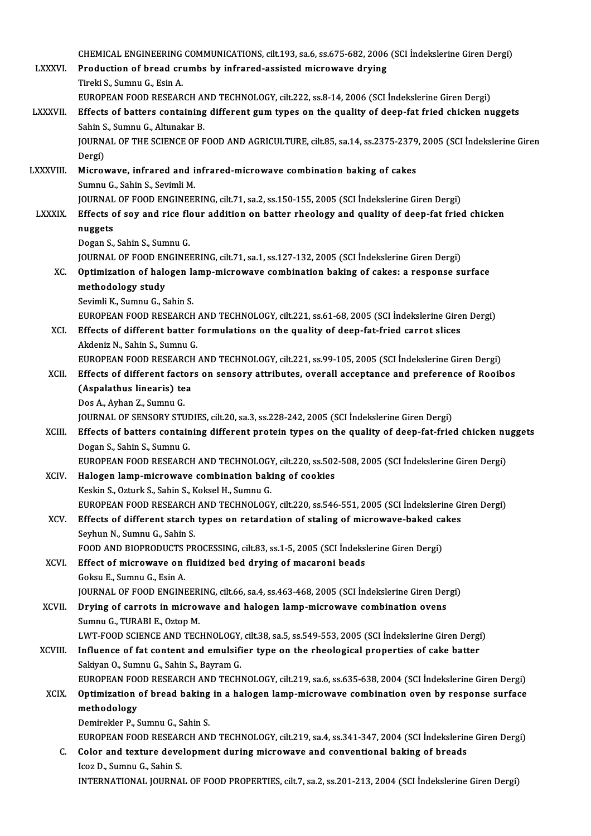|                 | CHEMICAL ENGINEERING COMMUNICATIONS, cilt.193, sa.6, ss.675-682, 2006 (SCI Indekslerine Giren Dergi)            |
|-----------------|-----------------------------------------------------------------------------------------------------------------|
| <b>LXXXVI</b>   | Production of bread crumbs by infrared-assisted microwave drying                                                |
|                 | Tireki S., Sumnu G., Esin A.                                                                                    |
|                 | EUROPEAN FOOD RESEARCH AND TECHNOLOGY, cilt.222, ss.8-14, 2006 (SCI Indekslerine Giren Dergi)                   |
| <b>LXXXVII.</b> | Effects of batters containing different gum types on the quality of deep-fat fried chicken nuggets              |
|                 | Sahin S., Sumnu G., Altunakar B.                                                                                |
|                 | JOURNAL OF THE SCIENCE OF FOOD AND AGRICULTURE, cilt.85, sa.14, ss.2375-2379, 2005 (SCI İndekslerine Giren      |
|                 | Dergi)                                                                                                          |
| <b>LXXXVIII</b> | Microwave, infrared and infrared-microwave combination baking of cakes<br>Sumnu G., Sahin S., Sevimli M.        |
|                 | JOURNAL OF FOOD ENGINEERING, cilt.71, sa.2, ss.150-155, 2005 (SCI Indekslerine Giren Dergi)                     |
| <b>LXXXIX</b>   | Effects of soy and rice flour addition on batter rheology and quality of deep-fat fried chicken                 |
|                 | nuggets                                                                                                         |
|                 | Dogan S., Sahin S., Sumnu G.                                                                                    |
|                 | JOURNAL OF FOOD ENGINEERING, cilt.71, sa.1, ss.127-132, 2005 (SCI Indekslerine Giren Dergi)                     |
| XC.             | Optimization of halogen lamp-microwave combination baking of cakes: a response surface                          |
|                 | methodology study                                                                                               |
|                 | Sevimli K., Sumnu G., Sahin S.                                                                                  |
|                 | EUROPEAN FOOD RESEARCH AND TECHNOLOGY, cilt.221, ss.61-68, 2005 (SCI İndekslerine Giren Dergi)                  |
| XCI.            | Effects of different batter formulations on the quality of deep-fat-fried carrot slices                         |
|                 | Akdeniz N., Sahin S., Sumnu G.                                                                                  |
|                 | EUROPEAN FOOD RESEARCH AND TECHNOLOGY, cilt.221, ss.99-105, 2005 (SCI Indekslerine Giren Dergi)                 |
| XCII.           | Effects of different factors on sensory attributes, overall acceptance and preference of Rooibos                |
|                 | (Aspalathus linearis) tea<br>Dos A., Ayhan Z., Sumnu G.                                                         |
|                 | JOURNAL OF SENSORY STUDIES, cilt.20, sa.3, ss.228-242, 2005 (SCI Indekslerine Giren Dergi)                      |
| XCIII.          | Effects of batters containing different protein types on the quality of deep-fat-fried chicken nuggets          |
|                 | Dogan S., Sahin S., Sumnu G.                                                                                    |
|                 | EUROPEAN FOOD RESEARCH AND TECHNOLOGY, cilt.220, ss.502-508, 2005 (SCI İndekslerine Giren Dergi)                |
| XCIV.           | Halogen lamp-microwave combination baking of cookies                                                            |
|                 | Keskin S., Ozturk S., Sahin S., Koksel H., Sumnu G.                                                             |
|                 | EUROPEAN FOOD RESEARCH AND TECHNOLOGY, cilt.220, ss.546-551, 2005 (SCI İndekslerine Giren Dergi)                |
| XCV.            | Effects of different starch types on retardation of staling of microwave-baked cakes                            |
|                 | Seyhun N., Sumnu G., Sahin S.                                                                                   |
|                 | FOOD AND BIOPRODUCTS PROCESSING, cilt.83, ss.1-5, 2005 (SCI Indekslerine Giren Dergi)                           |
| XCVI.           | Effect of microwave on fluidized bed drying of macaroni beads<br>Goksu E., Sumnu G., Esin A.                    |
|                 | JOURNAL OF FOOD ENGINEERING, cilt.66, sa.4, ss.463-468, 2005 (SCI Indekslerine Giren Dergi)                     |
| XCVII.          | Drying of carrots in microwave and halogen lamp-microwave combination ovens                                     |
|                 | Sumnu G., TURABI E., Oztop M.                                                                                   |
|                 | LWT-FOOD SCIENCE AND TECHNOLOGY, cilt.38, sa.5, ss.549-553, 2005 (SCI İndekslerine Giren Dergi)                 |
| XCVIII.         | Influence of fat content and emulsifier type on the rheological properties of cake batter                       |
|                 | Sakiyan O., Sumnu G., Sahin S., Bayram G.                                                                       |
|                 | EUROPEAN FOOD RESEARCH AND TECHNOLOGY, cilt.219, sa.6, ss.635-638, 2004 (SCI İndekslerine Giren Dergi)          |
| <b>XCIX</b>     | Optimization of bread baking in a halogen lamp-microwave combination oven by response surface                   |
|                 | methodology                                                                                                     |
|                 | Demirekler P., Sumnu G., Sahin S.                                                                               |
|                 | EUROPEAN FOOD RESEARCH AND TECHNOLOGY, cilt.219, sa.4, ss.341-347, 2004 (SCI Indekslerine Giren Dergi)          |
| C.              | Color and texture development during microwave and conventional baking of breads<br>Icoz D., Sumnu G., Sahin S. |
|                 | INTERNATIONAL JOURNAL OF FOOD PROPERTIES, cilt.7, sa.2, ss.201-213, 2004 (SCI Indekslerine Giren Dergi)         |
|                 |                                                                                                                 |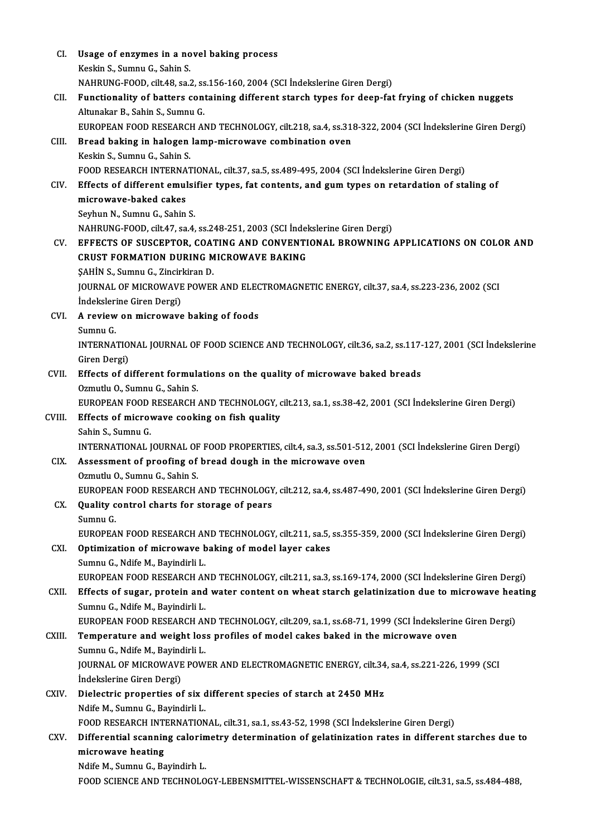| CI.    | Usage of enzymes in a novel baking process                                                                               |
|--------|--------------------------------------------------------------------------------------------------------------------------|
|        | Keskin S., Sumnu G., Sahin S.                                                                                            |
|        | NAHRUNG-FOOD, cilt.48, sa.2, ss.156-160, 2004 (SCI Indekslerine Giren Dergi)                                             |
| CII.   | Functionality of batters containing different starch types for deep-fat frying of chicken nuggets                        |
|        | Altunakar B., Sahin S., Sumnu G.                                                                                         |
|        | EUROPEAN FOOD RESEARCH AND TECHNOLOGY, cilt.218, sa.4, ss.318-322, 2004 (SCI İndekslerine Giren Dergi)                   |
| CIII.  | Bread baking in halogen lamp-microwave combination oven                                                                  |
|        | Keskin S., Sumnu G., Sahin S.                                                                                            |
|        | FOOD RESEARCH INTERNATIONAL, cilt.37, sa.5, ss.489-495, 2004 (SCI Indekslerine Giren Dergi)                              |
| CIV.   | Effects of different emulsifier types, fat contents, and gum types on retardation of staling of                          |
|        | microwave-baked cakes                                                                                                    |
|        | Seyhun N., Sumnu G., Sahin S.                                                                                            |
|        | NAHRUNG-FOOD, cilt.47, sa.4, ss.248-251, 2003 (SCI İndekslerine Giren Dergi)                                             |
| CV.    | EFFECTS OF SUSCEPTOR, COATING AND CONVENTIONAL BROWNING APPLICATIONS ON COLOR AND                                        |
|        | <b>CRUST FORMATION DURING MICROWAVE BAKING</b>                                                                           |
|        | ŞAHİN S., Sumnu G., Zincirkiran D.                                                                                       |
|        | JOURNAL OF MICROWAVE POWER AND ELECTROMAGNETIC ENERGY, cilt.37, sa.4, ss.223-236, 2002 (SCI<br>Indekslerine Giren Dergi) |
| CVI.   | A review on microwave baking of foods                                                                                    |
|        | Sumnu G.                                                                                                                 |
|        | INTERNATIONAL JOURNAL OF FOOD SCIENCE AND TECHNOLOGY, cilt.36, sa.2, ss.117-127, 2001 (SCI Indekslerine                  |
|        | Giren Dergi)                                                                                                             |
| CVII.  | Effects of different formulations on the quality of microwave baked breads                                               |
|        | Ozmutlu O., Sumnu G., Sahin S.                                                                                           |
|        | EUROPEAN FOOD RESEARCH AND TECHNOLOGY, cilt.213, sa.1, ss.38-42, 2001 (SCI İndekslerine Giren Dergi)                     |
| CVIII. | Effects of microwave cooking on fish quality                                                                             |
|        | Sahin S., Sumnu G.                                                                                                       |
|        | INTERNATIONAL JOURNAL OF FOOD PROPERTIES, cilt.4, sa.3, ss.501-512, 2001 (SCI Indekslerine Giren Dergi)                  |
| CIX —  | Assessment of proofing of bread dough in the microwave oven                                                              |
|        | Ozmutlu O., Sumnu G., Sahin S.                                                                                           |
|        | EUROPEAN FOOD RESEARCH AND TECHNOLOGY, cilt.212, sa.4, ss.487-490, 2001 (SCI İndekslerine Giren Dergi)                   |
| CX.    | Quality control charts for storage of pears                                                                              |
|        | Sumnu G.<br>EUROPEAN FOOD RESEARCH AND TECHNOLOGY, cilt.211, sa.5, ss.355-359, 2000 (SCI Indekslerine Giren Dergi)       |
| CXI.   | Optimization of microwave baking of model layer cakes                                                                    |
|        | Sumnu G., Ndife M., Bayindirli L.                                                                                        |
|        | EUROPEAN FOOD RESEARCH AND TECHNOLOGY, cilt.211, sa.3, ss.169-174, 2000 (SCI Indekslerine Giren Dergi)                   |
| CXII.  | Effects of sugar, protein and water content on wheat starch gelatinization due to microwave heating                      |
|        | Sumnu G., Ndife M., Bayindirli L.                                                                                        |
|        | EUROPEAN FOOD RESEARCH AND TECHNOLOGY, cilt.209, sa.1, ss.68-71, 1999 (SCI İndekslerine Giren Dergi)                     |
| CXIII. | Temperature and weight loss profiles of model cakes baked in the microwave oven                                          |
|        | Sumnu G., Ndife M., Bayindirli L.                                                                                        |
|        | JOURNAL OF MICROWAVE POWER AND ELECTROMAGNETIC ENERGY, cilt.34, sa.4, ss.221-226, 1999 (SCI                              |
|        | Indekslerine Giren Dergi)                                                                                                |
| CXIV.  | Dielectric properties of six different species of starch at 2450 MHz                                                     |
|        | Ndife M., Sumnu G., Bayindirli L.                                                                                        |
|        | FOOD RESEARCH INTERNATIONAL, cilt.31, sa.1, ss.43-52, 1998 (SCI Indekslerine Giren Dergi)                                |
| CXV.   | Differential scanning calorimetry determination of gelatinization rates in different starches due to                     |
|        | microwave heating<br>Ndife M., Sumnu G., Bayindirh L.                                                                    |
|        | FOOD SCIENCE AND TECHNOLOGY-LEBENSMITTEL-WISSENSCHAFT & TECHNOLOGIE, cilt.31, sa.5, ss.484-488,                          |
|        |                                                                                                                          |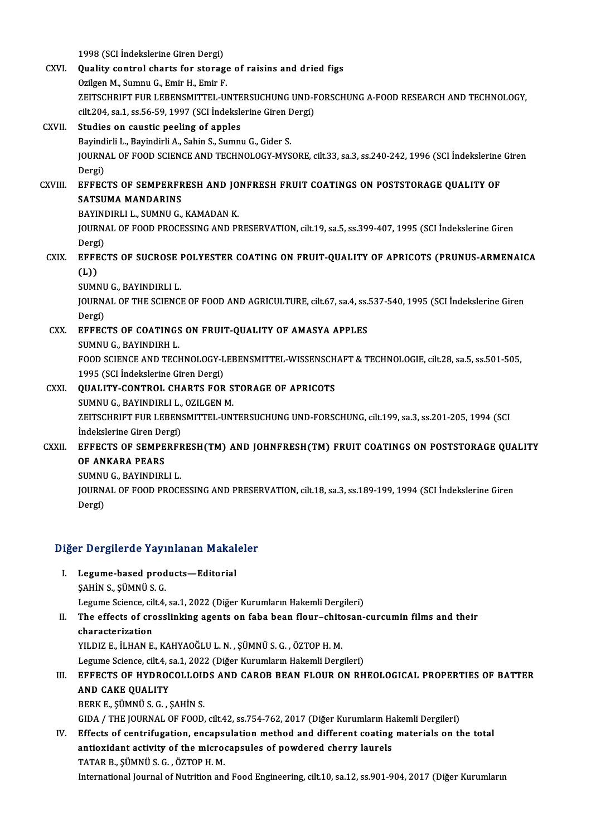1998 (SCI İndekslerine Giren Dergi)

1998 (SCI İndekslerine Giren Dergi)<br>CXVI. Quality control charts for storage of raisins and dried figs 1998 (SCI İndekslerine Giren Dergi)<br>Quality control charts for storage<br>Ozilgen M., Sumnu G., Emir H., Emir F.<br>ZEITSCHDIET FUD LEBENSMITTEL U Ozilgen M., Sumnu G., Emir H., Emir F.<br>ZEITSCHRIFT FUR LEBENSMITTEL-UNTERSUCHUNG UND-FORSCHUNG A-FOOD RESEARCH AND TECHNOLOGY. Ozilgen M., Sumnu G., Emir H., Emir F.<br>ZEITSCHRIFT FUR LEBENSMITTEL-UNTERSUCHUNG UND-F<br>cilt.204, sa.1, ss.56-59, 1997 (SCI İndekslerine Giren Dergi)<br>Studies en saustis poeling of annles CXVII. Studies on caustic peeling of apples cilt.204, sa.1, ss.56-59, 1997 (SCI İndekslerine Giren E<br>Studies on caustic peeling of apples<br>Bayindirli L., Bayindirli A., Sahin S., Sumnu G., Gider S.<br>JOUPMAL OF FOOD SCIENCE AND TECHNOLOCY MYS JOURNAL OF FOOD SCIENCE AND TECHNOLOGY-MYSORE, cilt.33, sa.3, ss.240-242, 1996 (SCI İndekslerine Giren<br>Dergi) Bayindirli L., Bayindirli A., Sahin S., Sumnu G., Gider S. JOURNAL OF FOOD SCIENCE AND TECHNOLOGY-MYSORE, cilt.33, sa.3, ss.240-242, 1996 (SCI Indekslerine<br>Dergi)<br>CXVIII. EFFECTS OF SEMPERFRESH AND JONFRESH FRUIT COATINGS ON POSTSTORAGE QUALITY OF Dergi)<br><mark>EFFECTS OF SEMPERFR</mark><br>SATSUMA MANDARINS<br>PAYINDIRLLL SUMNU*C* EFFECTS OF SEMPERFRESH AND JO<br>SATSUMA MANDARINS<br>BAYINDIRLI L., SUMNU G., KAMADAN K.<br>JOUPNAL OF FOOD PROCESSING AND PL SATSUMA MANDARINS<br>BAYINDIRLI L., SUMNU G., KAMADAN K.<br>JOURNAL OF FOOD PROCESSING AND PRESERVATION, cilt.19, sa.5, ss.399-407, 1995 (SCI İndekslerine Giren **BAYINI<br>JOURN<br>Dergi)**<br>FFFFC JOURNAL OF FOOD PROCESSING AND PRESERVATION, cilt.19, sa.5, ss.399-407, 1995 (SCI Indekslerine Giren<br>Dergi)<br>CXIX. EFFECTS OF SUCROSE POLYESTER COATING ON FRUIT-QUALITY OF APRICOTS (PRUNUS-ARMENAICA Dergi<br><mark>EFFE</mark><br>(L))<br><sup>SUMN</sup> EFFECTS OF SUCROSE I<br>(L))<br>SUMNU G., BAYINDIRLI L.<br>JOUPNAL OF THE SCIENCI (L))<br>SUMNU G., BAYINDIRLI L.<br>JOURNAL OF THE SCIENCE OF FOOD AND AGRICULTURE, cilt.67, sa.4, ss.537-540, 1995 (SCI İndekslerine Giren<br>Dergi) SUMNU G., BAYINDIRLI L. JOURNAL OF THE SCIENCE OF FOOD AND AGRICULTURE, cilt.67, sa.4, ss.<br>Dergi)<br>CXX. EFFECTS OF COATINGS ON FRUIT-QUALITY OF AMASYA APPLES Dergi)<br><mark>EFFECTS OF COATINGS</mark><br>SUMNU G., BAYINDIRH L.<br>FOOD SCIENCE AND TECL EFFECTS OF COATINGS ON FRUIT-QUALITY OF AMASYA APPLES<br>SUMNU G., BAYINDIRH L.<br>FOOD SCIENCE AND TECHNOLOGY-LEBENSMITTEL-WISSENSCHAFT & TECHNOLOGIE, cilt.28, sa.5, ss.501-505,<br>1995 (SCI Indekslerine Ciren Dergi) SUMNU G., BAYINDIRH L.<br>FOOD SCIENCE AND TECHNOLOGY-L<br>1995 (SCI İndekslerine Giren Dergi)<br>QUALITY CONTROL CHARTS FOR FOOD SCIENCE AND TECHNOLOGY-LEBENSMITTEL-WISSENSCH<br>1995 (SCI İndekslerine Giren Dergi)<br>CXXI. QUALITY-CONTROL CHARTS FOR STORAGE OF APRICOTS<br>SUMNU C. BAYINDIBLI L. QZU CEN M 1995 (SCI İndekslerine Giren Dergi)<br>QUALITY-CONTROL CHARTS FOR S<br>SUMNU G., BAYINDIRLI L., OZILGEN M.<br>ZEITSCHPIET EUR LEPENSMITTEL UN' QUALITY-CONTROL CHARTS FOR STORAGE OF APRICOTS<br>SUMNU G., BAYINDIRLI L., OZILGEN M.<br>ZEITSCHRIFT FUR LEBENSMITTEL-UNTERSUCHUNG UND-FORSCHUNG, cilt.199, sa.3, ss.201-205, 1994 (SCI<br>Indekslerine Ciren Dergi) SUMNU G., BAYINDIRLI L.,<br>ZEITSCHRIFT FUR LEBEN:<br>İndekslerine Giren Dergi)<br>EEEECTS OE SEMBERER ZEITSCHRIFT FUR LEBENSMITTEL-UNTERSUCHUNG UND-FORSCHUNG, cilt.199, sa.3, ss.201-205, 1994 (SCI<br>Indekslerine Giren Dergi)<br>CXXII. EFFECTS OF SEMPERFRESH(TM) AND JOHNFRESH(TM) FRUIT COATINGS ON POSTSTORAGE QUALITY<br>OF ANKARA B Indekslerine Giren De<br>EFFECTS OF SEMPE<br>OF ANKARA PEARS<br>SUMNU C BAYNDIPI EFFECTS OF SEMPERFF<br>OF ANKARA PEARS<br>SUMNU G., BAYINDIRLI L.<br>JOUPNAL OF FOOD PROCE OF ANKARA PEARS<br>SUMNU G., BAYINDIRLI L.<br>JOURNAL OF FOOD PROCESSING AND PRESERVATION, cilt.18, sa.3, ss.189-199, 1994 (SCI İndekslerine Giren<br>Dergi) SUMNU G., BAYINDIRLI L.

# <sub>Dergi)</sub><br>Diğer Dergilerde Yayınlanan Makaleler

Iger Dergilerde Yayınlanan Makal<br>I. Legume-based products—Editorial<br>SAHIN S.SÜMNÜS C I. Legume-based products—Editorial<br>ŞAHİN S., ŞÜMNÜ S. G.

Legume Science, cilt.4, sa.1, 2022 (Diğer Kurumların Hakemli Dergileri)

## SAHİN S., ŞÜMNÜ S. G.<br>Legume Science, cilt.4, sa.1, 2022 (Diğer Kurumların Hakemli Dergileri)<br>II. The effects of crosslinking agents on faba bean flour–chitosan-curcumin films and their<br>characterization Legume Science, cil<br>The effects of cro<br>characterization<br>YU DIZ E .iI HAN E The effects of crosslinking agents on faba bean flour-chite<br>characterization<br>YILDIZ E., İLHAN E., KAHYAOĞLU L. N. , ŞÜMNÜ S. G. , ÖZTOP H. M.<br>Lezume Ssiense, silt 4, se 1, 2022 (Diğer Kurumların Hakemli Derg

characterization<br>1997 - YILDIZ E., İLHAN E., KAHYAOĞLU L. N. , ŞÜMNÜ S. G. , ÖZTOP H. M.<br>1994 - Legume Science, cilt.4, sa.1, 2022 (Diğer Kurumların Hakemli Dergileri)

## III. EFFECTS OF HYDROCOLLOIDS AND CAROB BEAN FLOUR ON RHEOLOGICAL PROPERTIES OF BATTER AND CAKE QUALITY

BERKE.,ŞÜMNÜS.G. ,ŞAHİNS.

GIDA / THE JOURNAL OF FOOD, cilt.42, ss.754-762, 2017 (Diğer Kurumların Hakemli Dergileri)

## IV. Effects of centrifugation, encapsulation method and different coating materials on the total GIDA / THE JOURNAL OF FOOD, cilt.42, ss.754-762, 2017 (Diğer Kurumların Handler's of centrifugation, encapsulation method and different coating<br>antioxidant activity of the microcapsules of powdered cherry laurels<br>TATAR B. Effects of centrifugation, encaps<br>antioxidant activity of the micro<br>TATAR B., ŞÜMNÜ S. G. , ÖZTOP H. M.<br>International Journal of Nutrition and TATAR B., ŞÜMNÜ S. G. , ÖZTOP H. M.<br>International Journal of Nutrition and Food Engineering, cilt.10, sa.12, ss.901-904, 2017 (Diğer Kurumların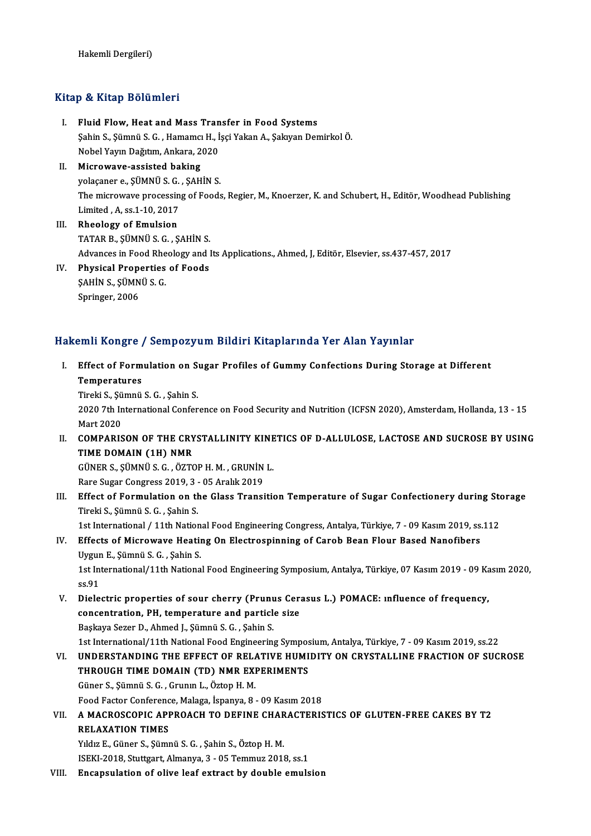### Kitap & Kitap Bölümleri

- itap & Kitap Bölümleri<br>I. Fluid Flow, Heat and Mass Transfer in Food Systems<br>Sabin S. Sümnü S.C. Hamamg H. İssi Vakan A. Sakuran Dar Şahin S., Şümnü S. G., Hamamcı H., İşçi Yakan A., Şakıyan Demirkol Ö. Fluid Flow, Heat and Mass Tran<br>Şahin S., Şümnü S. G. , Hamamcı H., İ<br>Nobel Yayın Dağıtım, Ankara, 2020<br>Misrowaya əssistad bəkins Nobel Yayın Dağıtım, Ankara, 2020
- II. Microwave-assisted baking<br>volacaner e. SÜMNÜ S. G. . SAHİN S. The microwave processing of Foods, Regier, M., Knoerzer, K. and Schubert, H., Editör, Woodhead Publishing Limited ,A, ss.1-10,2017
- III. Rheology of Emulsion TATARB.,ŞÜMNÜS.G. ,ŞAHİNS. Advances in Food Rheology and Its Applications., Ahmed, J, Editör, Elsevier, ss.437-457, 2017
- IV. Physical Properties of Foods Advances in Food Rhe<br>Physical Properties<br>ŞAHİN S., ŞÜMNÜ S. G.<br>Saringen 2006 Physical Prop<br>ŞAHİN S., ŞÜMN<br>Springer, 2006

# Springer, 2006<br>Hakemli Kongre / Sempozyum Bildiri Kitaplarında Yer Alan Yayınlar

- akemli Kongre / Sempozyum Bildiri Kitaplarında Yer Alan Yayınlar<br>I. Effect of Formulation on Sugar Profiles of Gummy Confections During Storage at Different<br>Temperatures sini riongre<br>Effect of Form<br>Temperatures<br><sup>Tinold S.</sup> Sümnü Effect of Formulation on S<br>Temperatures<br>Tireki S., Şümnü S. G. , Şahin S.<br>2020 7th International Confor
	- Tireki S., Şümnü S. G., Şahin S.

Temperatures<br>Tireki S., Şümnü S. G. , Şahin S.<br>2020 7th International Conference on Food Security and Nutrition (ICFSN 2020), Amsterdam, Hollanda, 13 - 15<br>Mart 2020 2020 7th International Conference on Food Security and Nutrition (ICFSN 2020), Amsterdam, Hollanda, 13 - 15<br>Mart 2020<br>II. COMPARISON OF THE CRYSTALLINITY KINETICS OF D-ALLULOSE, LACTOSE AND SUCROSE BY USING<br>TIME DOMAIN (14

Mart 2020<br>COMPARISON OF THE CRY<br>TIME DOMAIN (1H) NMR<br>CÜNER S. SÜMNÜ S.C. ÖZTC COMPARISON OF THE CRYSTALLINITY KINE<br>TIME DOMAIN (1H) NMR<br>GÜNER S., ŞÜMNÜ S. G. , ÖZTOP H. M. , GRUNİN L.<br>Para Sugar Congress 2019, 2., OE Aralık 2019 TIME DOMAIN (1H) NMR<br>GÜNER S., ŞÜMNÜ S. G. , ÖZTOP H. M. , GRUNİN<br>Rare Sugar Congress 2019, 3 - 05 Aralık 2019<br>Effect of Eormulation on the Glass Transi

Rare Sugar Congress 2019, 3 - 05 Aralık 2019

III. Effect of Formulation on the Glass Transition Temperature of Sugar Confectionery during Storage<br>Tireki S., Şümnü S. G., Şahin S. Effect of Formulation on the Glass Transition Temperature of Sugar Confectionery during Sto<br>Tireki S., Şümnü S. G. , Şahin S.<br>1st International / 11th National Food Engineering Congress, Antalya, Türkiye, 7 - 09 Kasım 2019 Tireki S., Șümnü S. G. , Șahin S.<br>1st International / 11th National Food Engineering Congress, Antalya, Türkiye, 7 - 09 Kasım 2019, ss.<br>IV. Effects of Microwave Heating On Electrospinning of Carob Bean Flour Based Nanofibe

- 1st International / 11th Nation<br>Effects of Microwave Heatin<br>Uygun E., Şümnü S. G. , Şahin S.<br>1st International (11th Nationa Effects of Microwave Heating On Electrospinning of Carob Bean Flour Based Nanofibers<br>Uygun E., Şümnü S. G. , Şahin S.<br>1st International/11th National Food Engineering Symposium, Antalya, Türkiye, 07 Kasım 2019 - 09 Kasım 2 Uygur<br>1st In<br>ss.91<br>Diele
- 1st International/11th National Food Engineering Symposium, Antalya, Türkiye, 07 Kasım 2019 09 Kass, 91<br>States of sour cherry (Prunus Cerasus L.) POMACE: influence of frequency,<br>Separation BH temperature and particle siz ss.91<br>Dielectric properties of sour cherry (Prunus Cera<br>concentration, PH, temperature and particle size<br>Beskave Sarar D, Abmed L, Sümnü S, G, Sobin S Dielectric properties of sour cherry (Prunu<br>concentration, PH, temperature and particl<br>Başkaya Sezer D., Ahmed J., Şümnü S. G. , Şahin S.<br>1st International (11th National Eood Engineerin Başkaya Sezer D., Ahmed J., Şümnü S. G. , Şahin S.<br>1st International/11th National Food Engineering Symposium, Antalya, Türkiye, 7 - 09 Kasım 2019, ss.22
- Başkaya Sezer D., Ahmed J., Şümnü S. G. , Şahin S.<br>1st International/11th National Food Engineering Symposium, Antalya, Türkiye, 7 09 Kasım 2019, ss.22<br>VI. UNDERSTANDING THE EFFECT OF RELATIVE HUMIDITY ON CRYSTALLINE 1st International/11th National Food Engineering Sympos<br>UNDERSTANDING THE EFFECT OF RELATIVE HUMI<br>THROUGH TIME DOMAIN (TD) NMR EXPERIMENTS UNDERSTANDING THE EFFECT OF RELA<br>THROUGH TIME DOMAIN (TD) NMR EXI<br>Güner S., Şümnü S. G. , Grunın L., Öztop H. M.<br>Feed Festor Corforense Malage İspanya, 8 THROUGH TIME DOMAIN (TD) NMR EXPERIMENTS<br>Güner S., Şümnü S. G. , Grunin L., Öztop H. M.<br>Food Factor Conference, Malaga, İspanya, 8 - 09 Kasım 2018<br>A MAGROSCORIC ARRROACH TO DEEINE CHARACTERIS

Güner S., Şümnü S. G. , Grunın L., Öztop H. M.<br>Food Factor Conference, Malaga, İspanya, 8 - 09 Kasım 2018<br>VII. – A MACROSCOPIC APPROACH TO DEFINE CHARACTERISTICS OF GLUTEN-FREE CAKES BY T2<br>RELAYATION TIMES Food Factor Conference<br>A MACROSCOPIC API<br>RELAXATION TIMES<br>Vidus E Cüner S. Sünu A MACROSCOPIC APPROACH TO DEFINE CHAR<br>RELAXATION TIMES<br>Yıldız E., Güner S., Şümnü S. G. , Şahin S., Öztop H. M.<br>ISEKI 2019, Stuttgart, Almanya 3., OE Temmuz 2011

RELAXATION TIMES<br>Indiz E., Güner S., Şümnü S. G. , Şahin S., Öztop H. M.<br>ISEKI-2018, Stuttgart, Almanya, 3 - 05 Temmuz 2018, ss.1

VIII. Encapsulation of olive leaf extract by double emulsion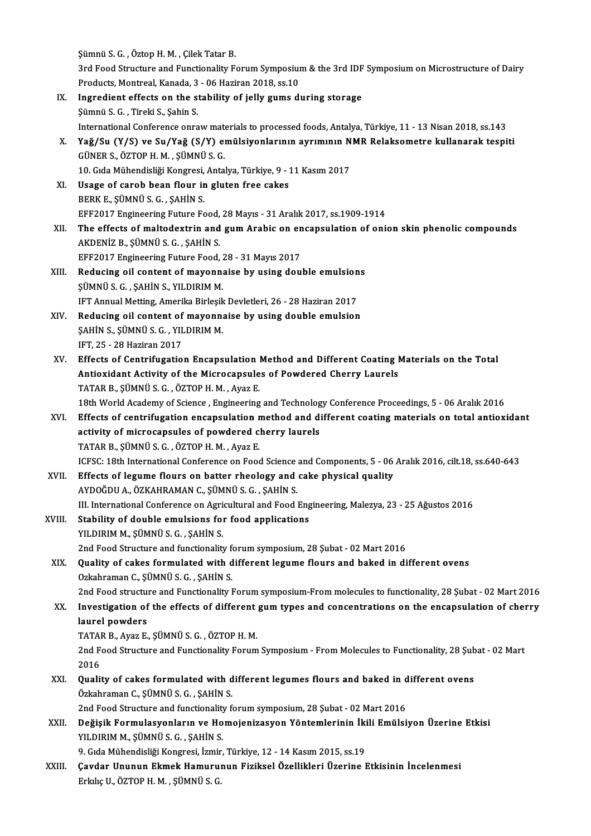Şümnü S.G. ,ÖztopH.M. ,ÇilekTatarB. Şümnü S. G. , Öztop H. M. , Çilek Tatar B.<br>3rd Food Structure and Functionality Forum Symposium & the 3rd IDF Symposium on Microstructure of Dairy<br>Produsta Mantreal, Kanada 3, 06 Harinan 2019, ss 10. Sümnü S. G. , Öztop H. M. , Çilek Tatar B.<br>3rd Food Structure and Functionality Forum Symposiul<br>Products, Montreal, Kanada, 3 - 06 Haziran 2018, ss.10<br>Ingredient offects on the stability of ially gume di 3rd Food Structure and Functionality Forum Symposium & the 3rd IDF<br>Products, Montreal, Kanada, 3 - 06 Haziran 2018, ss.10<br>IX. Ingredient effects on the stability of jelly gums during storage<br>Sümnü S.C. Tineli S. Sobin S. Products, Montreal, Kanada, 3 - 06 Haziran 2018, ss.10<br>IX. Ingredient effects on the stability of jelly gums during storage<br>Şümnü S. G. , Tireki S., Şahin S. International Conference onraw materials to processed foods, Antalya, Türkiye, 11 - 13 Nisan 2018, ss.143 Sümnü S. G. , Tireki S., Şahin S.<br>International Conference onraw materials to processed foods, Antalya, Türkiye, 11 - 13 Nisan 2018, ss.143<br>X. Yağ/Su (Y/S) ve Su/Yağ (S/Y) emülsiyonlarının ayrımının NMR Relaksometre ku International Conference onraw mate<br>Yağ/Su (Y/S) ve Su/Yağ (S/Y) en<br>GÜNER S., ÖZTOP H. M. , ŞÜMNÜ S. G.<br>10. Cida Mühandisliği Kongresi, Anta Yağ/Su (Y/S) ve Su/Yağ (S/Y) emülsiyonlarının ayrımının N<br>GÜNER S., ÖZTOP H. M. , ŞÜMNÜ S. G.<br>10. Gıda Mühendisliği Kongresi, Antalya, Türkiye, 9 - 11 Kasım 2017<br>Haage of saroh bean flour in gluten free sekes GÜNER S., ÖZTOP H. M. , ŞÜMNÜ S. G.<br>10. Gıda Mühendisliği Kongresi, Antalya, Türkiye, 9 - :<br>XI. Usage of carob bean flour in gluten free cakes<br>PERK E. SÜMNÜ S. G. SAHIN S. 10. Gıda Mühendisliği Kongresi,<br>Usage of carob bean flour ir<br>BERK E., ŞÜMNÜ S. G. , ŞAHİN S.<br>EEE2017 Engineering Eutune Fe EFF2017Engineering Future Food,28Mayıs -31Aralık2017, ss.1909-1914 XII. The effects of maltodextrin and gum Arabic on encapsulation of onion skin phenolic compounds AKDENİZB.,ŞÜMNÜS.G. ,ŞAHİNS. The effects of maltodextrin and gum Arabic on en<br>AKDENİZ B., ŞÜMNÜ S. G. , ŞAHİN S.<br>EFF2017 Engineering Future Food, 28 - 31 Mayıs 2017<br>Bedusing eil sentent of mayonnaise by using devi AKDENİZ B., ŞÜMNÜ S. G., ŞAHİN S.<br>EFF2017 Engineering Future Food, 28 - 31 Mayıs 2017<br>XIII. Reducing oil content of mayonnaise by using double emulsions<br>SÜMNÜ S. G., SAHİN S. VILDIRIM M EFF2017 Engineering Future Food, 3<br>Reducing oil content of mayonna<br>ŞÜMNÜ S. G. , ŞAHİN S., YILDIRIM M.<br>IET Annual Metting Amerika Birleşil Reducing oil content of mayonnaise by using double emulsion<br>ŞÜMNÜ S. G. , ŞAHİN S., YILDIRIM M.<br>IFT Annual Metting, Amerika Birleşik Devletleri, 26 - 28 Haziran 2017<br>Peduging oil content of mayonnaise by using double emuls SÜMNÜ S. G. , ŞAHİN S., YILDIRIM M.<br>IFT Annual Metting, Amerika Birleşik Devletleri, 26 - 28 Haziran 2017<br>XIV. Reducing oil content of mayonnaise by using double emulsion<br>SAHİN S. SÜMNÜ S.G. XII DIRIM M. IFT Annual Metting, Amerika Birleşik<br>Reducing oil content of mayonna<br>ŞAHİN S., ŞÜMNÜ S. G. , YILDIRIM M.<br>IET 25 - 28 Hariran 2017 Reducing oil content of<br>ŞAHİN S., ŞÜMNÜ S. G. , YIL<br>IFT, 25 - 28 Haziran 2017<br>Fffests of Contrifusatio SAHIN S., ŞÜMNÜ S. G. , YILDIRIM M.<br>IFT, 25 - 28 Haziran 2017<br>XV. Effects of Centrifugation Encapsulation Method and Different Coating Materials on the Total IFT, 25 - 28 Haziran 2017<br>Effects of Centrifugation Encapsulation Method and Different Coating I<br>Antioxidant Activity of the Microcapsules of Powdered Cherry Laurels<br>TATAR R. SÜMNÜ S. G. ÖZTORH M. Avaz E Effects of Centrifugation Encapsulation |<br>Antioxidant Activity of the Microcapsule<br>TATAR B., ŞÜMNÜ S. G. , ÖZTOP H. M. , Ayaz E.<br>19th World Academy of Science, Engineering Antioxidant Activity of the Microcapsules of Powdered Cherry Laurels<br>TATAR B., ŞÜMNÜ S. G. , ÖZTOP H. M. , Ayaz E.<br>18th World Academy of Science , Engineering and Technology Conference Proceedings, 5 - 06 Aralık 2016<br>Effec TATAR B., ŞÜMNÜ S. G., ÖZTOP H. M., Ayaz E.<br>18th World Academy of Science , Engineering and Technology Conference Proceedings, 5 - 06 Aralık 2016<br>XVI. Effects of centrifugation encapsulation method and different coating ma 18th World Academy of Science, Engineering and Technolog<br>Effects of centrifugation encapsulation method and di<br>activity of microcapsules of powdered cherry laurels<br>TATAR R. SÜMNÜ S. G. ÖZTOR H.M. AYAR E Effects of centrifugation encapsulation method and different coating materials on total antioxidant<br>activity of microcapsules of powdered cherry laurels<br>TATAR B., ŞÜMNÜ S. G. , ÖZTOP H. M. , Ayaz E. activity of microcapsules of powdered cherry laurels<br>TATAR B., ŞÜMNÜ S. G. , ÖZTOP H. M. , Ayaz E.<br>ICFSC: 18th International Conference on Food Science and Components, 5 - 06 Aralık 2016, cilt.18, ss.640-643<br>Effects of lag XVII. Effects of legume flours on batter rheology and cake physical quality<br>AYDOĞDU A., ÖZKAHRAMAN C., ŞÜMNÜ S. G., ŞAHİN S. ICFSC: 18th International Conference on Food Science<br>Effects of legume flours on batter rheology and<br>AYDOĞDU A., ÖZKAHRAMAN C., ŞÜMNÜ S. G. , ŞAHİN S.<br>III. International Conference on Agricultural and Eood i Effects of legume flours on batter rheology and cake physical quality<br>AYDOĞDU A., ÖZKAHRAMAN C., ŞÜMNÜ S. G. , ŞAHİN S.<br>III. International Conference on Agricultural and Food Engineering, Malezya, 23 - 25 Ağustos 2016<br>Stab XVIII. Stability of double emulsions for food applications<br>YILDIRIM M., SÜMNÜ S. G., SAHİN S. III. International Conference on Agri<br>Stability of double emulsions for<br>YILDIRIM M., ŞÜMNÜ S. G. , ŞAHİN S.<br>2nd Eood Strugture and functionality Stability of double emulsions for food applications<br>2nd Food Structure and functionality forum symposium, 28 Şubat - 02 Mart 2016<br>2nd Food Structure and functionality forum symposium, 28 Şubat - 02 Mart 2016 XIX. Quality of cakes formulated with different legume flours and baked in different ovens 2nd Food Structure and functionality fo<br>Quality of cakes formulated with dozkahraman C., ŞÜMNÜ S. G. , ŞAHİN S. Quality of cakes formulated with different legume flours and baked in different ovens<br>Ozkahraman C., ŞÜMNÜ S. G. , ŞAHİN S.<br>2nd Food structure and Functionality Forum symposium-From molecules to functionality, 28 Şubat - 0 Ozkahraman C., ŞÜMNÜ S. G. , ŞAHİN S.<br>2nd Food structure and Functionality Forum symposium-From molecules to functionality, 28 Şubat - 02 Mart 2016<br>XX. Investigation of the effects of different gum types and concentrations 2nd Food structul<br>Investigation of<br>laurel powders<br>TATAP P. Avez E Investigation of the effects of different<br>laurel powders<br>TATAR B., Ayaz E., ŞÜMNÜ S. G. , ÖZTOP H. M.<br>2nd Food Structure and Eunctionality Forum laurel powders<br>TATAR B., Ayaz E., ŞÜMNÜ S. G. , ÖZTOP H. M.<br>2nd Food Structure and Functionality Forum Symposium - From Molecules to Functionality, 28 Şubat - 02 Mart<br>2016 TATA<br>2nd F<br>2016<br>Qualit 2nd Food Structure and Functionality Forum Symposium - From Molecules to Functionality, 28 Şub<br>2016<br>XXI. Quality of cakes formulated with different legumes flours and baked in different ovens<br>Örkebreman C SÜMNÜ S G SAHIN S 2016<br>Quality of cakes formulated with different legumes flours and baked in different ovens<br>Özkahraman C., ŞÜMNÜ S. G. , ŞAHİN S. 2nd Food Structure and functionality forum symposium, 28 Şubat - 02 Mart 2016 Özkahraman C., ŞÜMNÜ S. G. , ŞAHİN S.<br>2nd Food Structure and functionality forum symposium, 28 Şubat - 02 Mart 2016<br>XXII. Değişik Formulasyonların ve Homojenizasyon Yöntemlerinin İkili Emülsiyon Üzerine Etkisi<br>XII. YILDIRIM M., ŞÜMNÜ S. G., ŞAHİN S. Değişik Formulasyonların ve Homojenizasyon Yöntemlerinin İki<br>YILDIRIM M., ŞÜMNÜ S. G. , ŞAHİN S.<br>9. Gıda Mühendisliği Kongresi, İzmir, Türkiye, 12 - 14 Kasım 2015, ss.19<br>Caydan Ununun Elimek Hamununun Eirikael Özellikleri XXIII. Çavdar Ununun Ekmek Hamurunun Fiziksel Özellikleri Üzerine Etkisinin İncelenmesi<br>Erkiliç U., ÖZTOP H. M. , ŞÜMNÜ S. G. 9. Gıda Mühendisliği Kongresi, İzmir, Türkiye, 12 - 14 Kasım 2015, ss.19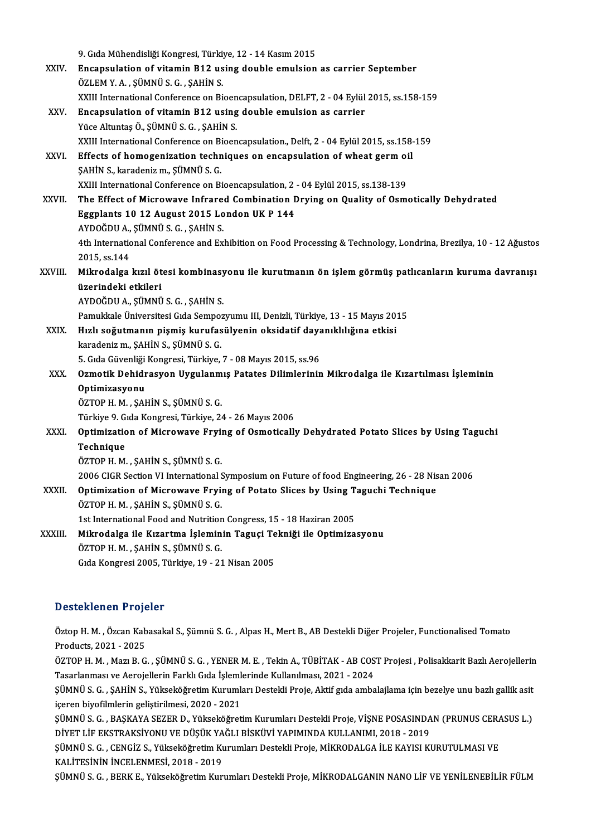|              | 9. Gıda Mühendisliği Kongresi, Türkiye, 12 - 14 Kasım 2015                                                       |
|--------------|------------------------------------------------------------------------------------------------------------------|
| XXIV.        | Encapsulation of vitamin B12 using double emulsion as carrier September                                          |
|              | ÖZLEM Y.A., ŞÜMNÜ S.G., ŞAHİN S.                                                                                 |
|              | XXIII International Conference on Bioencapsulation, DELFT, 2 - 04 Eylül 2015, ss.158-159                         |
| XXV.         | Encapsulation of vitamin B12 using double emulsion as carrier                                                    |
|              | Yüce Altuntaş Ö., ŞÜMNÜ S. G., ŞAHİN S.                                                                          |
|              | XXIII International Conference on Bioencapsulation., Delft, 2 - 04 Eylül 2015, ss.158-159                        |
| XXVI.        | Effects of homogenization techniques on encapsulation of wheat germ oil                                          |
|              | ŞAHİN S., karadeniz m., ŞÜMNÜ S. G.                                                                              |
|              | XXIII International Conference on Bioencapsulation, 2 - 04 Eylül 2015, ss.138-139                                |
| XXVII.       | The Effect of Microwave Infrared Combination Drying on Quality of Osmotically Dehydrated                         |
|              | Eggplants 10 12 August 2015 London UK P 144                                                                      |
|              | AYDOĞDU A., ŞÜMNÜ S. G., ŞAHİN S.                                                                                |
|              | 4th International Conference and Exhibition on Food Processing & Technology, Londrina, Brezilya, 10 - 12 Ağustos |
|              | 2015, ss 144                                                                                                     |
| XXVIII.      | Mikrodalga kızıl ötesi kombinasyonu ile kurutmanın ön işlem görmüş patlıcanların kuruma davranışı                |
|              | üzerindeki etkileri                                                                                              |
|              | AYDOĞDU A., ŞÜMNÜ S. G., ŞAHİN S.                                                                                |
|              | Pamukkale Üniversitesi Gıda Sempozyumu III, Denizli, Türkiye, 13 - 15 Mayıs 2015                                 |
| <b>XXIX</b>  | Hızlı soğutmanın pişmiş kurufasülyenin oksidatif dayanıklılığına etkisi                                          |
|              | karadeniz m., ŞAHİN S., ŞÜMNÜ S. G.                                                                              |
|              | 5. Gıda Güvenliği Kongresi, Türkiye, 7 - 08 Mayıs 2015, ss.96                                                    |
| XXX.         | Ozmotik Dehidrasyon Uygulanmış Patates Dilimlerinin Mikrodalga ile Kızartılması İşleminin                        |
|              | Optimizasyonu                                                                                                    |
|              | ÖZTOP H. M., ŞAHİN S., ŞÜMNÜ S. G.                                                                               |
|              | Türkiye 9. Gıda Kongresi, Türkiye, 24 - 26 Mayıs 2006                                                            |
| XXXI.        | Optimization of Microwave Frying of Osmotically Dehydrated Potato Slices by Using Taguchi                        |
|              | Technique                                                                                                        |
|              | ÖZTOP H. M., ŞAHİN S., ŞÜMNÜ S. G.                                                                               |
|              | 2006 CIGR Section VI International Symposium on Future of food Engineering, 26 - 28 Nisan 2006                   |
| <b>XXXII</b> | Optimization of Microwave Frying of Potato Slices by Using Taguchi Technique                                     |
|              | ÖZTOP H. M., ŞAHİN S., ŞÜMNÜ S. G.                                                                               |
|              | 1st International Food and Nutrition Congress, 15 - 18 Haziran 2005                                              |
| XXXIII.      | Mikrodalga ile Kızartma İşleminin Taguçi Tekniği ile Optimizasyonu                                               |
|              | ÖZTOP H. M., ŞAHİN S., ŞÜMNÜ S. G.                                                                               |
|              | Gıda Kongresi 2005, Türkiye, 19 - 21 Nisan 2005                                                                  |

### Desteklenen Projeler

Desteklenen Projeler<br>Öztop H. M. , Özcan Kabasakal S., Şümnü S. G. , Alpas H., Mert B., AB Destekli Diğer Projeler, Functionalised Tomato<br>Produsts 3031, 3035 Decembrish Proje<br>Öztop H. M. , Özcan Kab<br>Products, 2021 - 2025<br>ÖZTOP H. M. Mari B. G Products, 2021 - 2025<br>ÖZTOP H. M. , Mazı B. G. , ŞÜMNÜ S. G. , YENER M. E. , Tekin A., TÜBİTAK - AB COST Projesi , Polisakkarit Bazlı Aerojellerin Products, 2021 - 2025<br>ÖZTOP H. M. , Mazı B. G. , ŞÜMNÜ S. G. , YENER M. E. , Tekin A., TÜBİTAK - AB COS<br>Tasarlanması ve Aerojellerin Farklı Gıda İşlemlerinde Kullanılması, 2021 - 2024<br>SÜMNÜ S. G. SAHİN S. Yükseköğretim Kun ÖZTOP H. M. , Mazı B. G. , ŞÜMNÜ S. G. , YENER M. E. , Tekin A., TÜBİTAK - AB COST Projesi , Polisakkarit Bazlı Aerojellerin<br>Tasarlanması ve Aerojellerin Farklı Gıda İşlemlerinde Kullanılması, 2021 - 2024<br>ŞÜMNÜ S. G. , ŞAH Tasarlanması ve Aerojellerin Farklı Gıda İşleml<br>ŞÜMNÜ S. G. , ŞAHİN S., Yükseköğretim Kurumlı<br>içeren biyofilmlerin geliştirilmesi, 2020 - 2021<br>SÜMNÜ S. G., PASKAVA SEZER D. Vülreköğreti ŞÜMNÜ S. G. , ŞAHİN S., Yükseköğretim Kurumları Destekli Proje, Aktif gıda ambalajlama için bezelye unu bazlı gallik asit<br>içeren biyofilmlerin geliştirilmesi, 2020 - 2021<br>ŞÜMNÜ S. G. , BAŞKAYA SEZER D., Yükseköğretim Kurum içeren biyofilmlerin geliştirilmesi, 2020 - 2021<br>ŞÜMNÜ S. G. , BAŞKAYA SEZER D., Yükseköğretim Kurumları Destekli Proje, VİŞNE POSASINDA<br>DİYET LİF EKSTRAKSİYONU VE DÜŞÜK YAĞLI BİSKÜVİ YAPIMINDA KULLANIMI, 2018 - 2019<br>SÜMNÜ ŞÜMNÜ S. G. , BAŞKAYA SEZER D., Yükseköğretim Kurumları Destekli Proje, VİŞNE POSASINDAN (PRUNUS CERA<br>DİYET LİF EKSTRAKSİYONU VE DÜŞÜK YAĞLI BİSKÜVİ YAPIMINDA KULLANIMI, 2018 - 2019<br>ŞÜMNÜ S. G. , CENGİZ S., Yükseköğretim K DİYET LİF EKSTRAKSİYONU VE DÜŞÜK YAĞLI BİSKÜVİ YAPIMINDA KULLANIMI, 2018 - 2019<br>ŞÜMNÜ S. G. , CENGİZ S., Yükseköğretim Kurumları Destekli Proje, MİKRODALGA İLE KAYISI KURUTULMASI VE<br>KALİTESİNİN İNCELENMESİ, 2018 - 2019 ŞÜMNÜ S. G., BERK E., Yükseköğretim Kurumları Destekli Proje, MİKRODALGANIN NANO LİF VE YENİLENEBİLİR FÜLM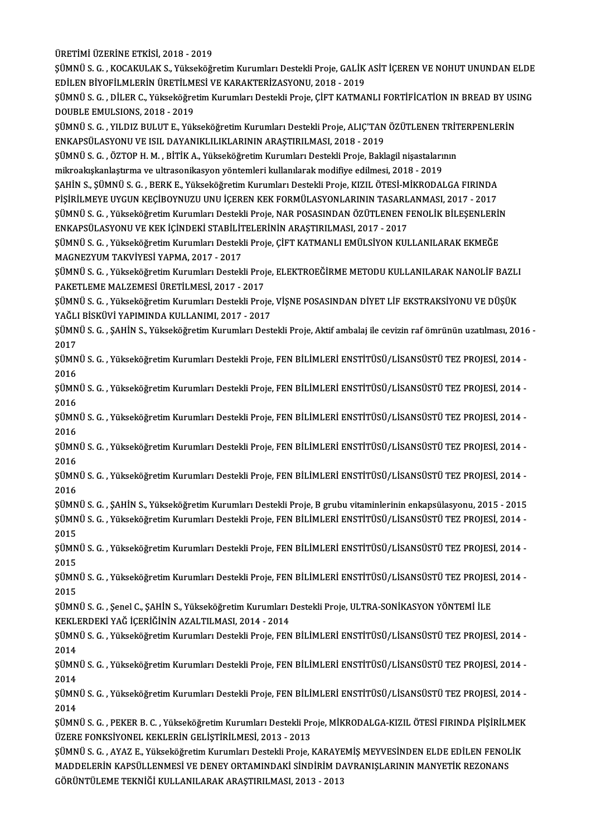ÜRETİMİ ÜZERİNE ETKİSİ, 2018 - 2019

ÜRETİMİ ÜZERİNE ETKİSİ, 2018 - 2019<br>ŞÜMNÜ S. G. , KOCAKULAK S., Yükseköğretim Kurumları Destekli Proje, GALİK ASİT İÇEREN VE NOHUT UNUNDAN ELDE<br>EDİLEN PİVOELLMI ERİN ÜRETLI MESİ VE KARAKTERİZASYONU 2018 - 2019 ÜRETİMİ ÜZERİNE ETKİSİ, 2018 - 2019<br>ŞÜMNÜ S. G. , KOCAKULAK S., Yükseköğretim Kurumları Destekli Proje, GALİK<br>EDİLEN BİYOFİLMLERİN ÜRETİLMESİ VE KARAKTERİZASYONU, 2018 - 2019<br>SÜMNÜ S. G., DİLER G. Yükseköğretim Kurumları D ŞÜMNÜ S. G. , KOCAKULAK S., Yükseköğretim Kurumları Destekli Proje, GALİK ASİT İÇEREN VE NOHUT UNUNDAN ELDE<br>EDİLEN BİYOFİLMLERİN ÜRETİLMESİ VE KARAKTERİZASYONU, 2018 - 2019<br>ŞÜMNÜ S. G. , DİLER C., Yükseköğretim Kurumları D

EDİLEN BİYOFİLMLERİN ÜRETİLMESİ VE KARAKTERİZASYONU, 2018 - 2019<br>ŞÜMNÜ S. G. , DİLER C., Yükseköğretim Kurumları Destekli Proje, ÇİFT KATMANLI FORTİFİCATİON IN BREAD BY USING<br>DOUBLE EMULSIONS, 2018 - 2019 ŞÜMNÜ S. G. , DİLER C., Yükseköğretim Kurumları Destekli Proje, ÇİFT KATMANLI FORTİFİCATİON IN BREAD BY USI<br>DOUBLE EMULSIONS, 2018 - 2019<br>ŞÜMNÜ S. G. , YILDIZ BULUT E., Yükseköğretim Kurumları Destekli Proje, ALIÇ'TAN ÖZÜT

DOUBLE EMULSIONS, 2018 - 2019<br>ŞÜMNÜ S. G. , YILDIZ BULUT E., Yükseköğretim Kurumları Destekli Proje, ALIÇ'TAN<br>ENKAPSÜLASYONU VE ISIL DAYANIKLILIKLARININ ARAŞTIRILMASI, 2018 - 2019<br>SÜMNÜ S. G., ÖZTOP H. M., PİTİK A., Vüksek ŞÜMNÜ S. G. , YILDIZ BULUT E., Yükseköğretim Kurumları Destekli Proje, ALIÇ'TAN ÖZÜTLENEN TRİT<br>ENKAPSÜLASYONU VE ISIL DAYANIKLILIKLARININ ARAŞTIRILMASI, 2018 - 2019<br>ŞÜMNÜ S. G. , ÖZTOP H. M. , BİTİK A., Yükseköğretim Kurum

ENKAPSÜLASYONU VE ISIL DAYANIKLILIKLARININ ARAŞTIRILMASI, 2018 - 2019<br>ŞÜMNÜ S. G. , ÖZTOP H. M. , BİTİK A., Yükseköğretim Kurumları Destekli Proje, Baklagil nişastalarının<br>mikroakışkanlaştırma ve ultrasonikasyon yöntemleri

ŞÜMNÜ S. G. , ÖZTOP H. M. , BİTİK A., Yükseköğretim Kurumları Destekli Proje, Baklagil nişastalarının<br>mikroakışkanlaştırma ve ultrasonikasyon yöntemleri kullanılarak modifiye edilmesi, 2018 - 2019<br>ŞAHİN S., ŞÜMNÜ S. G. , B mikroakışkanlaştırma ve ultrasonikasyon yöntemleri kullanılarak modifiye edilmesi, 2018 - 2019<br>ŞAHİN S., ŞÜMNÜ S. G. , BERK E., Yükseköğretim Kurumları Destekli Proje, KIZIL ÖTESİ-MİKRODALGA FIRINDA<br>PİŞİRİLMEYE UYGUN KEÇİB PİŞİRİLMEYE UYGUN KEÇİBOYNUZU UNU İÇEREN KEK FORMÜLASYONLARININ TASARLANMASI, 2017 - 2017

ŞÜMNÜ S. G. , Yükseköğretim Kurumları Destekli Proje, NAR POSASINDAN ÖZÜTLENEN FENOLİK BİLEŞENLERİN<br>ENKAPSÜLASYONU VE KEK İÇİNDEKİ STABİLİTELERİNİN ARAŞTIRILMASI, 2017 - 2017 ŞÜMNÜ S. G. , Yükseköğretim Kurumları Destekli Proje, NAR POSASINDAN ÖZÜTLENEN FENOLİK BİLEŞENLERİI<br>ENKAPSÜLASYONU VE KEK İÇİNDEKİ STABİLİTELERİNİN ARAŞTIRILMASI, 2017 - 2017<br>ŞÜMNÜ S. G. , Yükseköğretim Kurumları Destekli

ENKAPSÜLASYONU VE KEK İÇİNDEKİ STABİLİT<br>ŞÜMNÜ S. G. , Yükseköğretim Kurumları Destek<br>MAGNEZYUM TAKVİYESİ YAPMA, 2017 - 2017<br>SÜMNÜ S. G. , Yükseköğretim Kurumları Destek ŞÜMNÜ S. G. , Yükseköğretim Kurumları Destekli Proje, ÇİFT KATMANLI EMÜLSİYON KULLANILARAK EKMEĞE<br>MAGNEZYUM TAKVİYESİ YAPMA, 2017 - 2017<br>ŞÜMNÜ S. G. , Yükseköğretim Kurumları Destekli Proje, ELEKTROEĞİRME METODU KULLANILAR

MAGNEZYUM TAKVİYESİ YAPMA, 2017 - 2017<br>ŞÜMNÜ S. G. , Yükseköğretim Kurumları Destekli Proj<br>PAKETLEME MALZEMESİ ÜRETİLMESİ, 2017 - 2017<br>SÜMNÜ S. G. , Yükseköğretim Kurumları Destekli Proj ŞÜMNÜ S. G. , Yükseköğretim Kurumları Destekli Proje, ELEKTROEĞİRME METODU KULLANILARAK NANOLİF BAZLI<br>PAKETLEME MALZEMESİ ÜRETİLMESİ, 2017 - 2017<br>ŞÜMNÜ S. G. , Yükseköğretim Kurumları Destekli Proje, VİŞNE POSASINDAN DİYET

PAKETLEME MALZEMESİ ÜRETİLMESİ, 2017 - 2017<br>ŞÜMNÜ S. G. , Yükseköğretim Kurumları Destekli Proje, VİŞNE POSASINDAN DİYET LİF EKSTRAKSİYONU VE DÜŞÜK<br>YAĞLI BİSKÜVİ YAPIMINDA KULLANIMI, 2017 - 2017 ŞÜMNÜ S. G. , Yükseköğretim Kurumları Destekli Proje, VİŞNE POSASINDAN DİYET LİF EKSTRAKSİYONU VE DÜŞÜK<br>YAĞLI BİSKÜVİ YAPIMINDA KULLANIMI, 2017 - 2017<br>ŞÜMNÜ S. G. , ŞAHİN S., Yükseköğretim Kurumları Destekli Proje, Aktif a

YAĞLI<br>ŞÜMN<br>2017<br>SÜMN ŞÜMNÜ S. G. , ŞAHİN S., Yükseköğretim Kurumları Destekli Proje, Aktif ambalaj ile cevizin raf ömrünün uzatılması, 2016<br>2017<br>ŞÜMNÜ S. G. , Yükseköğretim Kurumları Destekli Proje, FEN BİLİMLERİ ENSTİTÜSÜ/LİSANSÜSTÜ TEZ PROJE

2017<br>ŞÜMN<br>2016<br>SÜMN ŞÜMNÜ S. G. , Yükseköğretim Kurumları Destekli Proje, FEN BİLİMLERİ ENSTİTÜSÜ/LİSANSÜSTÜ TEZ PROJESİ, 2014 -<br>2016<br>ŞÜMNÜ S. G. , Yükseköğretim Kurumları Destekli Proje, FEN BİLİMLERİ ENSTİTÜSÜ/LİSANSÜSTÜ TEZ PROJESİ, 2014 -

2016<br>ŞÜMN<br>2016<br>SÜMN ŞÜMNÜ S. G. , Yükseköğretim Kurumları Destekli Proje, FEN BİLİMLERİ ENSTİTÜSÜ/LİSANSÜSTÜ TEZ PROJESİ, 2014 -<br>2016<br>ŞÜMNÜ S. G. , Yükseköğretim Kurumları Destekli Proje, FEN BİLİMLERİ ENSTİTÜSÜ/LİSANSÜSTÜ TEZ PROJESİ, 2014 -

2016<br>ŞÜMNÜ S. G. , Yükseköğretim Kurumları Destekli Proje, FEN BİLİMLERİ ENSTİTÜSÜ/LİSANSÜSTÜ TEZ PROJESİ, 2014 -<br>2016 ŞÜMNÜ S. G. , Yükseköğretim Kurumları Destekli Proje, FEN BİLİMLERİ ENSTİTÜSÜ/LİSANSÜSTÜ TEZ PROJESİ, 2014 -<br>2016<br>ŞÜMNÜ S. G. , Yükseköğretim Kurumları Destekli Proje, FEN BİLİMLERİ ENSTİTÜSÜ/LİSANSÜSTÜ TEZ PROJESİ, 2014 -

2016<br>ŞÜMN<br>2016<br>SÜMN ŞÜMNÜ S. G. , Yükseköğretim Kurumları Destekli Proje, FEN BİLİMLERİ ENSTİTÜSÜ/LİSANSÜSTÜ TEZ PROJESİ, 2014 -<br>2016<br>ŞÜMNÜ S. G. , Yükseköğretim Kurumları Destekli Proje, FEN BİLİMLERİ ENSTİTÜSÜ/LİSANSÜSTÜ TEZ PROJESİ, 2014 -

2016<br>ŞÜMN<br>2016<br>SÜMN ŞÜMNÜ S. G. , Yükseköğretim Kurumları Destekli Proje, FEN BİLİMLERİ ENSTİTÜSÜ/LİSANSÜSTÜ TEZ PROJESİ, 2014 -<br>2016<br>ŞÜMNÜ S. G. , ŞAHİN S., Yükseköğretim Kurumları Destekli Proje, B grubu vitaminlerinin enkapsülasyonu, 2015

2016<br>ŞÜMNÜ S. G. , ŞAHİN S., Yükseköğretim Kurumları Destekli Proje, B grubu vitaminlerinin enkapsülasyonu, 2015 - 2015<br>ŞÜMNÜ S. G. , Yükseköğretim Kurumları Destekli Proje, FEN BİLİMLERİ ENSTİTÜSÜ/LİSANSÜSTÜ TEZ PROJESİ, <mark>ŞÜMN</mark><br>ŞÜMN<br>2015<br>SÜMN ŞÜMNÜ S. G. , Yükseköğretim Kurumları Destekli Proje, FEN BİLİMLERİ ENSTİTÜSÜ/LİSANSÜSTÜ TEZ PROJESİ, 2014 -<br>2015<br>ŞÜMNÜ S. G. , Yükseköğretim Kurumları Destekli Proje, FEN BİLİMLERİ ENSTİTÜSÜ/LİSANSÜSTÜ TEZ PROJESİ, 2014 -

2015<br>ŞÜMN<br>2015<br>SÜMN ŞÜMNÜ S. G. , Yükseköğretim Kurumları Destekli Proje, FEN BİLİMLERİ ENSTİTÜSÜ/LİSANSÜSTÜ TEZ PROJESİ, 2014 -<br>2015<br>ŞÜMNÜ S. G. , Yükseköğretim Kurumları Destekli Proje, FEN BİLİMLERİ ENSTİTÜSÜ/LİSANSÜSTÜ TEZ PROJESİ, 2014 -

2015<br>ŞÜMN<br>2015<br>SÜMN ŞÜMNÜ S. G. , Yükseköğretim Kurumları Destekli Proje, FEN BİLİMLERİ ENSTİTÜSÜ/LİSANSÜSTÜ TEZ PROJES!<br>2015<br>ŞÜMNÜ S. G. , Şenel C., ŞAHİN S., Yükseköğretim Kurumları Destekli Proje, ULTRA-SONİKASYON YÖNTEMİ İLE<br>KEKLEPDEKİ YA

2015<br>ŞÜMNÜ S. G. , Şenel C., ŞAHİN S., Yükseköğretim Kurumları Destekli Proje, ULTRA-SONİKASYON YÖNTEMİ İLE<br>KEKLERDEKİ YAĞ İÇERİĞİNİN AZALTILMASI, 2014 - 2014 ŞÜMNÜ S. G. , Şenel C., ŞAHİN S., Yükseköğretim Kurumları Destekli Proje, ULTRA-SONİKASYON YÖNTEMİ İLE<br>KEKLERDEKİ YAĞ İÇERİĞİNİN AZALTILMASI, 2014 - 2014<br>ŞÜMNÜ S. G. , Yükseköğretim Kurumları Destekli Proje, FEN BİLİMLERİ

KEKLI<br>ŞÜMN<br>2014<br>SÜMN ŞÜMNÜ S. G. , Yükseköğretim Kurumları Destekli Proje, FEN BİLİMLERİ ENSTİTÜSÜ/LİSANSÜSTÜ TEZ PROJESİ, 2014 -<br>2014<br>ŞÜMNÜ S. G. , Yükseköğretim Kurumları Destekli Proje, FEN BİLİMLERİ ENSTİTÜSÜ/LİSANSÜSTÜ TEZ PROJESİ, 2014 -

2014<br>ŞÜMN<br>2014<br>SÜMN ŞÜMNÜ S. G. , Yükseköğretim Kurumları Destekli Proje, FEN BİLİMLERİ ENSTİTÜSÜ/LİSANSÜSTÜ TEZ PROJESİ, 2014 -<br>2014<br>ŞÜMNÜ S. G. , Yükseköğretim Kurumları Destekli Proje, FEN BİLİMLERİ ENSTİTÜSÜ/LİSANSÜSTÜ TEZ PROJESİ, 2014 -

2014<br>ŞÜMN<br>2014<br>SÜMN ŞÜMNÜ S. G. , Yükseköğretim Kurumları Destekli Proje, FEN BİLİMLERİ ENSTİTÜSÜ/LİSANSÜSTÜ TEZ PROJESİ, 2014 -<br>2014<br>ŞÜMNÜ S. G. , PEKER B. C. , Yükseköğretim Kurumları Destekli Proje, MİKRODALGA-KIZIL ÖTESİ FIRINDA PİŞİRİLME

2014<br>ŞÜMNÜ S. G. , PEKER B. C. , Yükseköğretim Kurumları Destekli Pr<br>ÜZERE FONKSİYONEL KEKLERİN GELİŞTİRİLMESİ, 2013 - 2013<br>SÜMNÜ S. G. , AYAZ E. Vülseköğretim Kurumları Destekli Preje ŞÜMNÜ S. G. , PEKER B. C. , Yükseköğretim Kurumları Destekli Proje, MİKRODALGA-KIZIL ÖTESİ FIRINDA PİŞİRİLMEK<br>ÜZERE FONKSİYONEL KEKLERİN GELİŞTİRİLMESİ, 2013 - 2013<br>ŞÜMNÜ S. G. , AYAZ E., Yükseköğretim Kurumları Destekli P

ÜZERE FONKSİYONEL KEKLERİN GELİŞTİRİLMESİ, 2013 - 2013<br>ŞÜMNÜ S. G. , AYAZ E., Yükseköğretim Kurumları Destekli Proje, KARAYEMİŞ MEYVESİNDEN ELDE EDİLEN FENOL<br>MADDELERİN KAPSÜLLENMESİ VE DENEY ORTAMINDAKİ SİNDİRİM DAVRANIŞL ŞÜMNÜ S. G. , AYAZ E., Yükseköğretim Kurumları Destekli Proje, KARAYE<br>MADDELERİN KAPSÜLLENMESİ VE DENEY ORTAMINDAKİ SİNDİRİM D*ı*<br>GÖRÜNTÜLEME TEKNİĞİ KULLANILARAK ARAŞTIRILMASI, 2013 - 2013